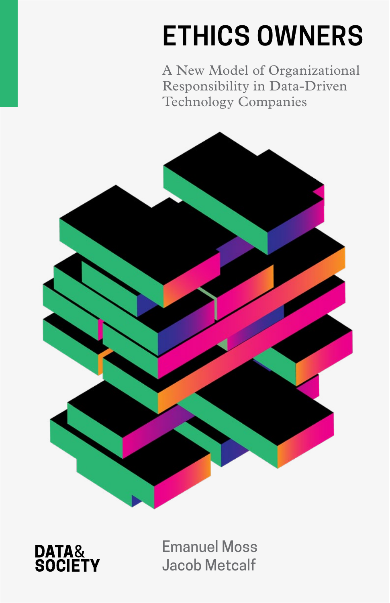# **ETHICS OWNERS**

A New Model of Organizational Responsibility in Data-Driven Technology Companies



**DATA&<br>SOCIETY** 

Emanuel Moss Jacob Metcalf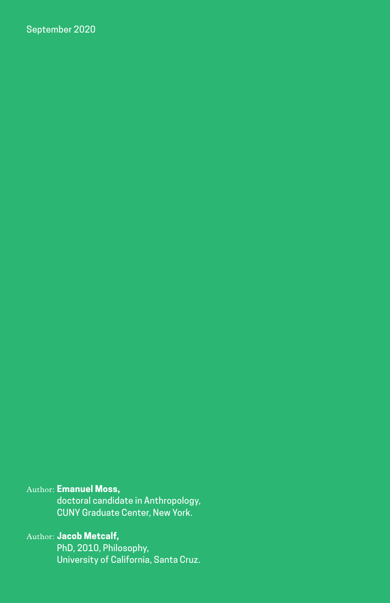September 2020

#### Author: **Emanuel Moss,**

doctoral candidate in Anthropology, CUNY Graduate Center, New York.

### Author: **Jacob Metcalf,**

PhD, 2010, Philosophy, University of California, Santa Cruz.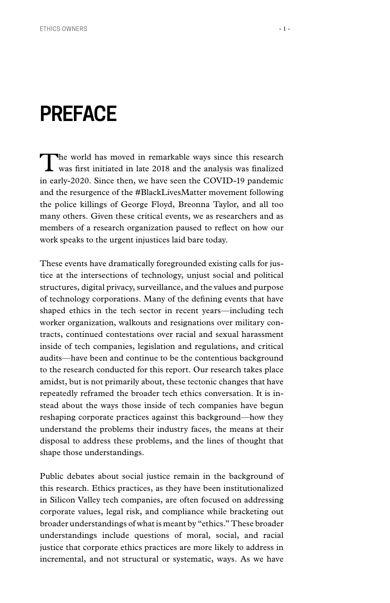## **PREFACE**

The world has moved in remarkable ways since this research was first initiated in late 2018 and the analysis was finalized in early-2020. Since then, we have seen the COVID-19 pandemic and the resurgence of the #BlackLivesMatter movement following the police killings of George Floyd, Breonna Taylor, and all too many others. Given these critical events, we as researchers and as members of a research organization paused to reflect on how our work speaks to the urgent injustices laid bare today.

These events have dramatically foregrounded existing calls for justice at the intersections of technology, unjust social and political structures, digital privacy, surveillance, and the values and purpose of technology corporations. Many of the defining events that have shaped ethics in the tech sector in recent years—including tech worker organization, walkouts and resignations over military contracts, continued contestations over racial and sexual harassment inside of tech companies, legislation and regulations, and critical audits—have been and continue to be the contentious background to the research conducted for this report. Our research takes place amidst, but is not primarily about, these tectonic changes that have repeatedly reframed the broader tech ethics conversation. It is instead about the ways those inside of tech companies have begun reshaping corporate practices against this background—how they understand the problems their industry faces, the means at their disposal to address these problems, and the lines of thought that shape those understandings.

Public debates about social justice remain in the background of this research. Ethics practices, as they have been institutionalized in Silicon Valley tech companies, are often focused on addressing corporate values, legal risk, and compliance while bracketing out broader understandings of what is meant by "ethics." These broader understandings include questions of moral, social, and racial justice that corporate ethics practices are more likely to address in incremental, and not structural or systematic, ways. As we have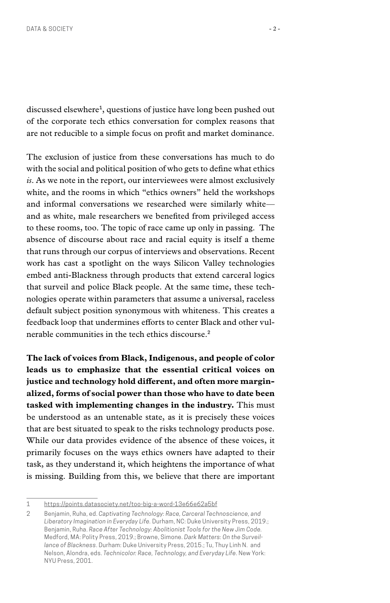discussed elsewhere**1**, questions of justice have long been pushed out of the corporate tech ethics conversation for complex reasons that are not reducible to a simple focus on profit and market dominance.

The exclusion of justice from these conversations has much to do with the social and political position of who gets to define what ethics *is*. As we note in the report, our interviewees were almost exclusively white, and the rooms in which "ethics owners" held the workshops and informal conversations we researched were similarly white and as white, male researchers we benefited from privileged access to these rooms, too. The topic of race came up only in passing. The absence of discourse about race and racial equity is itself a theme that runs through our corpus of interviews and observations. Recent work has cast a spotlight on the ways Silicon Valley technologies embed anti-Blackness through products that extend carceral logics that surveil and police Black people. At the same time, these technologies operate within parameters that assume a universal, raceless default subject position synonymous with whiteness. This creates a feedback loop that undermines efforts to center Black and other vulnerable communities in the tech ethics discourse.**<sup>2</sup>**

**The lack of voices from Black, Indigenous, and people of color leads us to emphasize that the essential critical voices on justice and technology hold different, and often more marginalized, forms of social power than those who have to date been tasked with implementing changes in the industry.** This must be understood as an untenable state, as it is precisely these voices that are best situated to speak to the risks technology products pose. While our data provides evidence of the absence of these voices, it primarily focuses on the ways ethics owners have adapted to their task, as they understand it, which heightens the importance of what is missing. Building from this, we believe that there are important

<sup>1</sup> <https://points.datasociety.net/too-big-a-word-13e66e62a5bf>

<sup>2</sup> Benjamin, Ruha, ed. *Captivating Technology: Race, Carceral Technoscience, and Liberatory Imagination in Everyday Life.* Durham, NC: Duke University Press, 2019.; Benjamin, Ruha. *Race After Technology: Abolitionist Tools for the New Jim Code.*  Medford, MA: Polity Press, 2019.; Browne, Simone. *Dark Matters: On the Surveillance of Blackness*. Durham: Duke University Press, 2015.; Tu, Thuy Linh N. and Nelson, Alondra, eds. *Technicolor: Race, Technology, and Everyday Life*. New York: NYU Press, 2001.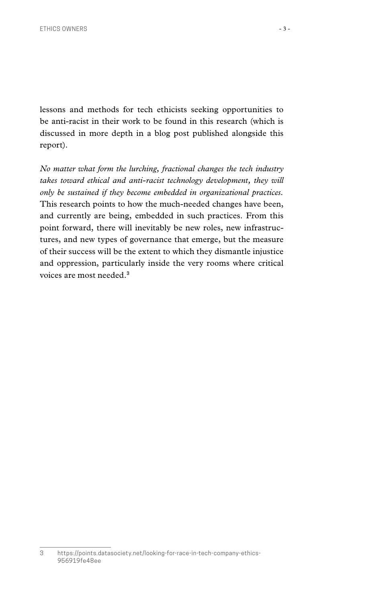lessons and methods for tech ethicists seeking opportunities to be anti-racist in their work to be found in this research (which is discussed in more depth in a blog post published alongside this report).

*No matter what form the lurching, fractional changes the tech industry*  takes toward ethical and anti-racist technology development, they will *only be sustained if they become embedded in organizational practices.*  This research points to how the much-needed changes have been, and currently are being, embedded in such practices. From this point forward, there will inevitably be new roles, new infrastructures, and new types of governance that emerge, but the measure of their success will be the extent to which they dismantle injustice and oppression, particularly inside the very rooms where critical voices are most needed.**<sup>3</sup>**

<sup>3</sup> [https://points.datasociety.net/looking-for-race-in-tech-company-ethics-](https://points.datasociety.net/looking-for-race-in-tech-company-ethics-956919fe48ee)[956919fe48ee](https://points.datasociety.net/looking-for-race-in-tech-company-ethics-956919fe48ee)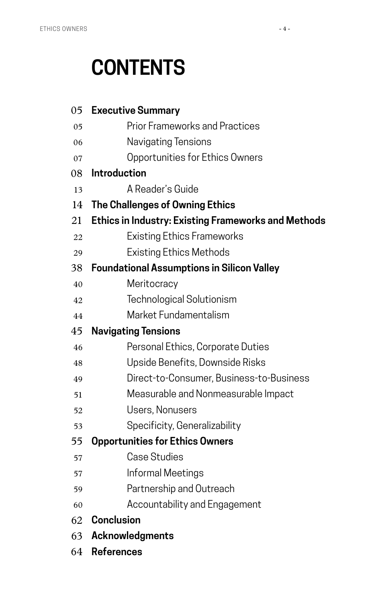## **CONTENTS**

| 05 | <b>Executive Summary</b>                                   |
|----|------------------------------------------------------------|
| 05 | <b>Prior Frameworks and Practices</b>                      |
| 06 | Navigating Tensions                                        |
| 07 | Opportunities for Ethics Owners                            |
| 08 | <b>Introduction</b>                                        |
| 13 | A Reader's Guide                                           |
| 14 | The Challenges of Owning Ethics                            |
| 21 | <b>Ethics in Industry: Existing Frameworks and Methods</b> |
| 22 | <b>Existing Ethics Frameworks</b>                          |
| 29 | <b>Existing Ethics Methods</b>                             |
| 38 | <b>Foundational Assumptions in Silicon Valley</b>          |
| 40 | Meritocracy                                                |
| 42 | Technological Solutionism                                  |
| 44 | Market Fundamentalism                                      |
| 45 | <b>Navigating Tensions</b>                                 |
| 46 | Personal Ethics, Corporate Duties                          |
| 48 | Upside Benefits, Downside Risks                            |
| 49 | Direct-to-Consumer, Business-to-Business                   |
| 51 | Measurable and Nonmeasurable Impact                        |
| 52 | Users, Nonusers                                            |
| 53 | Specificity, Generalizability                              |
| 55 | <b>Opportunities for Ethics Owners</b>                     |
| 57 | <b>Case Studies</b>                                        |
| 57 | Informal Meetings                                          |
| 59 | Partnership and Outreach                                   |
| 60 | Accountability and Engagement                              |
| 62 | <b>Conclusion</b>                                          |
| 63 | Acknowledgments                                            |
| 64 | <b>References</b>                                          |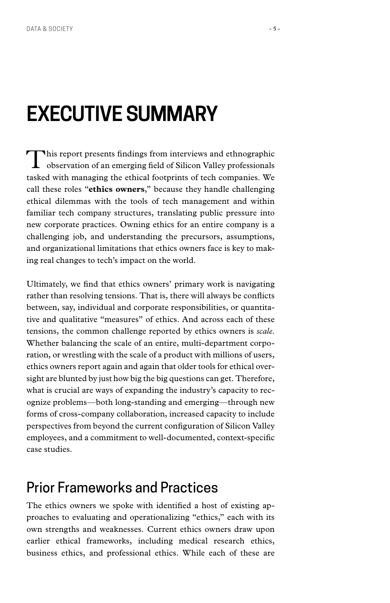## <span id="page-6-0"></span>**EXECUTIVE SUMMARY**

This report presents findings from interviews and ethnographic observation of an emerging field of Silicon Valley professionals tasked with managing the ethical footprints of tech companies. We call these roles "**ethics owners**," because they handle challenging ethical dilemmas with the tools of tech management and within familiar tech company structures, translating public pressure into new corporate practices. Owning ethics for an entire company is a challenging job, and understanding the precursors, assumptions, and organizational limitations that ethics owners face is key to making real changes to tech's impact on the world.

Ultimately, we find that ethics owners' primary work is navigating rather than resolving tensions. That is, there will always be conflicts between, say, individual and corporate responsibilities, or quantitative and qualitative "measures" of ethics. And across each of these tensions, the common challenge reported by ethics owners is *scale*. Whether balancing the scale of an entire, multi-department corporation, or wrestling with the scale of a product with millions of users, ethics owners report again and again that older tools for ethical oversight are blunted by just how big the big questions can get. Therefore, what is crucial are ways of expanding the industry's capacity to recognize problems—both long-standing and emerging—through new forms of cross-company collaboration, increased capacity to include perspectives from beyond the current configuration of Silicon Valley employees, and a commitment to well-documented, context-specific case studies.

### [Prior Frameworks and Practices](#page-22-0)

The ethics owners we spoke with identified a host of existing approaches to evaluating and operationalizing "ethics," each with its own strengths and weaknesses. Current ethics owners draw upon earlier ethical frameworks, including medical research ethics, business ethics, and professional ethics. While each of these are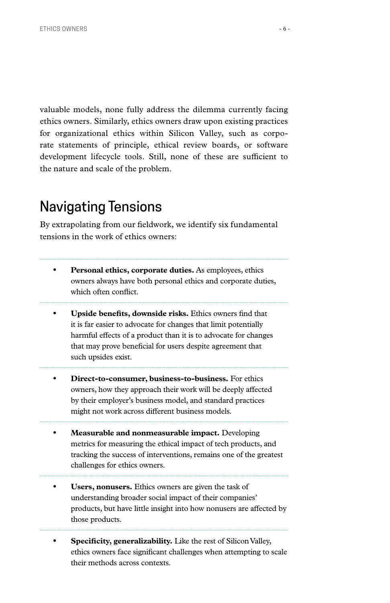<span id="page-7-0"></span>valuable models, none fully address the dilemma currently facing ethics owners. Similarly, ethics owners draw upon existing practices for organizational ethics within Silicon Valley, such as corporate statements of principle, ethical review boards, or software development lifecycle tools. Still, none of these are sufficient to the nature and scale of the problem.

## [Navigating Tensions](#page-46-0)

By extrapolating from our fieldwork, we identify six fundamental tensions in the work of ethics owners:

- **• Personal ethics, corporate duties.** As employees, ethics owners always have both personal ethics and corporate duties, which often conflict.
- **• Upside benefits, downside risks.** Ethics owners find that it is far easier to advocate for changes that limit potentially harmful effects of a product than it is to advocate for changes that may prove beneficial for users despite agreement that such upsides exist.
- **• Direct-to-consumer, business-to-business.** For ethics owners, how they approach their work will be deeply affected by their employer's business model, and standard practices might not work across different business models.
- **• Measurable and nonmeasurable impact.** Developing metrics for measuring the ethical impact of tech products, and tracking the success of interventions, remains one of the greatest challenges for ethics owners.
- **• Users, nonusers.** Ethics owners are given the task of understanding broader social impact of their companies' products, but have little insight into how nonusers are affected by those products.
- **• Specificity, generalizability.** Like the rest of Silicon Valley, ethics owners face significant challenges when attempting to scale their methods across contexts.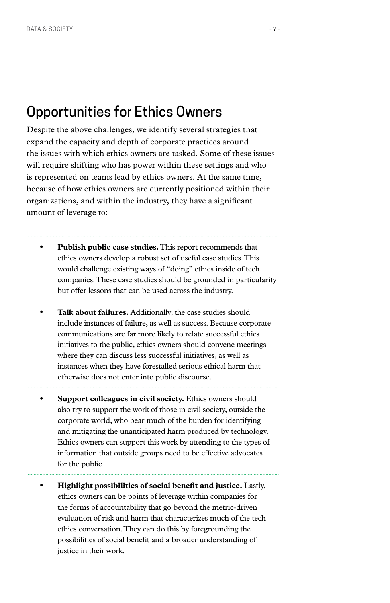### <span id="page-8-0"></span>[Opportunities for Ethics Owners](#page-56-0)

Despite the above challenges, we identify several strategies that expand the capacity and depth of corporate practices around the issues with which ethics owners are tasked. Some of these issues will require shifting who has power within these settings and who is represented on teams lead by ethics owners. At the same time, because of how ethics owners are currently positioned within their organizations, and within the industry, they have a significant amount of leverage to:

- **• Publish public case studies.** This report recommends that ethics owners develop a robust set of useful case studies. This would challenge existing ways of "doing" ethics inside of tech companies. These case studies should be grounded in particularity but offer lessons that can be used across the industry.
- **• Talk about failures.** Additionally, the case studies should include instances of failure, as well as success. Because corporate communications are far more likely to relate successful ethics initiatives to the public, ethics owners should convene meetings where they can discuss less successful initiatives, as well as instances when they have forestalled serious ethical harm that otherwise does not enter into public discourse.
- **• Support colleagues in civil society.** Ethics owners should also try to support the work of those in civil society, outside the corporate world, who bear much of the burden for identifying and mitigating the unanticipated harm produced by technology. Ethics owners can support this work by attending to the types of information that outside groups need to be effective advocates for the public.
- **• Highlight possibilities of social benefit and justice.** Lastly, ethics owners can be points of leverage within companies for the forms of accountability that go beyond the metric-driven evaluation of risk and harm that characterizes much of the tech ethics conversation. They can do this by foregrounding the possibilities of social benefit and a broader understanding of justice in their work.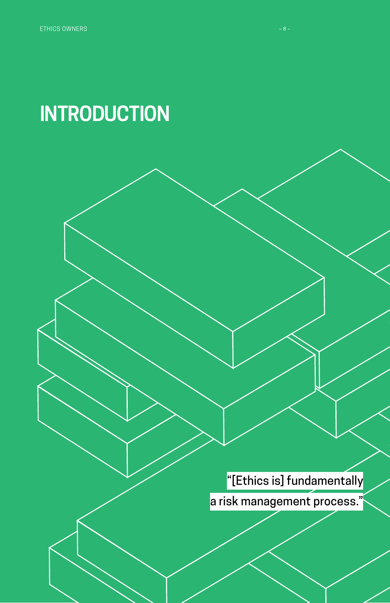## <span id="page-9-0"></span>**INTRODUCTION**

"[Ethics is] fundamentally

a risk management process."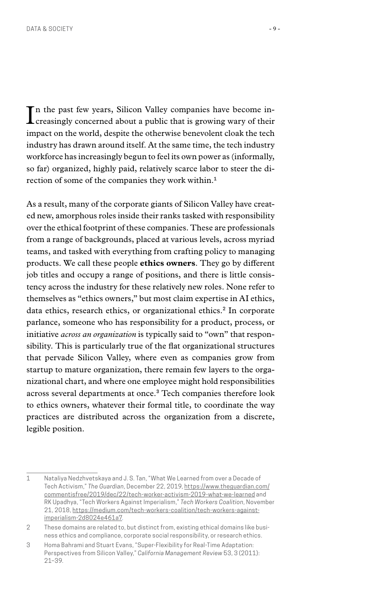In the past few years, Silicon Valley companies have become in-<br>Icreasingly concerned about a public that is growing wary of their creasingly concerned about a public that is growing wary of their impact on the world, despite the otherwise benevolent cloak the tech industry has drawn around itself. At the same time, the tech industry workforce has increasingly begun to feel its own power as (informally, so far) organized, highly paid, relatively scarce labor to steer the direction of some of the companies they work within.**<sup>1</sup>**

As a result, many of the corporate giants of Silicon Valley have created new, amorphous roles inside their ranks tasked with responsibility over the ethical footprint of these companies. These are professionals from a range of backgrounds, placed at various levels, across myriad teams, and tasked with everything from crafting policy to managing products. We call these people **ethics owners**. They go by different job titles and occupy a range of positions, and there is little consistency across the industry for these relatively new roles. None refer to themselves as "ethics owners," but most claim expertise in AI ethics, data ethics, research ethics, or organizational ethics.**2** In corporate parlance, someone who has responsibility for a product, process, or initiative *across an organization* is typically said to "own" that responsibility. This is particularly true of the flat organizational structures that pervade Silicon Valley, where even as companies grow from startup to mature organization, there remain few layers to the organizational chart, and where one employee might hold responsibilities across several departments at once.**3** Tech companies therefore look to ethics owners, whatever their formal title, to coordinate the way practices are distributed across the organization from a discrete, legible position.

<sup>1</sup> Nataliya Nedzhvetskaya and J. S. Tan, "What We Learned from over a Decade of Tech Activism," *The Guardian*, December 22, 2019, [https://www.theguardian.com/](https://www.theguardian.com/commentisfree/2019/dec/22/tech-worker-activism-2019-what-we-learned) [commentisfree/2019/dec/22/tech-worker-activism-2019-what-we-learned](https://www.theguardian.com/commentisfree/2019/dec/22/tech-worker-activism-2019-what-we-learned) and RK Upadhya, "Tech Workers Against Imperialism," *Tech Workers Coalition*, November 21, 2018, [https://medium.com/tech-workers-coalition/tech-workers-against](https://medium.com/tech-workers-coalition/tech-workers-against-imperialism-2d8024e461a7)[imperialism-2d8024e461a7.](https://medium.com/tech-workers-coalition/tech-workers-against-imperialism-2d8024e461a7)

<sup>2</sup> These domains are related to, but distinct from, existing ethical domains like business ethics and compliance, corporate social responsibility, or research ethics.

<sup>3</sup> Homa Bahrami and Stuart Evans, "Super-Flexibility for Real-Time Adaptation: Perspectives from Silicon Valley," *California Management Review* 53, 3 (2011): 21–39.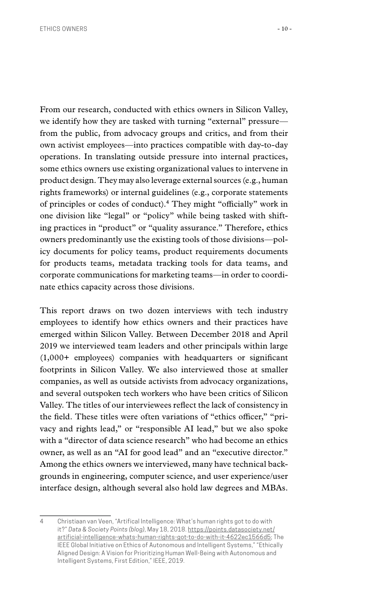From our research, conducted with ethics owners in Silicon Valley, we identify how they are tasked with turning "external" pressure from the public, from advocacy groups and critics, and from their own activist employees—into practices compatible with day-to-day operations. In translating outside pressure into internal practices, some ethics owners use existing organizational values to intervene in product design. They may also leverage external sources (e.g., human rights frameworks) or internal guidelines (e.g., corporate statements of principles or codes of conduct).**4** They might "officially" work in one division like "legal" or "policy" while being tasked with shifting practices in "product" or "quality assurance." Therefore, ethics owners predominantly use the existing tools of those divisions—policy documents for policy teams, product requirements documents for products teams, metadata tracking tools for data teams, and corporate communications for marketing teams—in order to coordinate ethics capacity across those divisions.

This report draws on two dozen interviews with tech industry employees to identify how ethics owners and their practices have emerged within Silicon Valley. Between December 2018 and April 2019 we interviewed team leaders and other principals within large (1,000+ employees) companies with headquarters or significant footprints in Silicon Valley. We also interviewed those at smaller companies, as well as outside activists from advocacy organizations, and several outspoken tech workers who have been critics of Silicon Valley. The titles of our interviewees reflect the lack of consistency in the field. These titles were often variations of "ethics officer," "privacy and rights lead," or "responsible AI lead," but we also spoke with a "director of data science research" who had become an ethics owner, as well as an "AI for good lead" and an "executive director." Among the ethics owners we interviewed, many have technical backgrounds in engineering, computer science, and user experience/user interface design, although several also hold law degrees and MBAs.

<sup>4</sup> Christiaan van Veen, "Artifical Intelligence: What's human rights got to do with it?" *Data & Society Points (blog)*, May 18, 2018. [https://points.datasociety.net/](https://points.datasociety.net/artificial-intelligence-whats-human-rights-got-to-do-with-it-4622ec1566d5) [artificial-intelligence-whats-human-rights-got-to-do-with-it-4622ec1566d5](https://points.datasociety.net/artificial-intelligence-whats-human-rights-got-to-do-with-it-4622ec1566d5); The IEEE Global Initiative on Ethics of Autonomous and Intelligent Systems," "Ethically Aligned Design: A Vision for Prioritizing Human Well-Being with Autonomous and Intelligent Systems, First Edition," IEEE, 2019.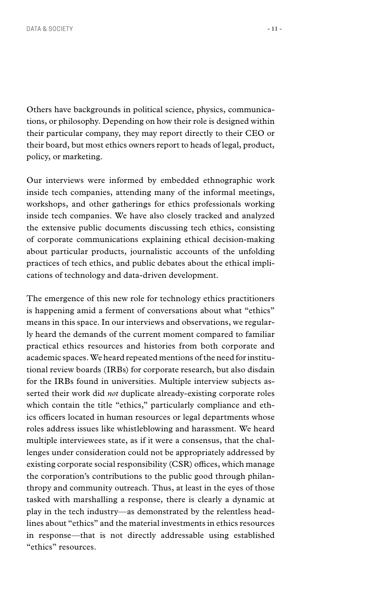Others have backgrounds in political science, physics, communications, or philosophy. Depending on how their role is designed within their particular company, they may report directly to their CEO or their board, but most ethics owners report to heads of legal, product, policy, or marketing.

Our interviews were informed by embedded ethnographic work inside tech companies, attending many of the informal meetings, workshops, and other gatherings for ethics professionals working inside tech companies. We have also closely tracked and analyzed the extensive public documents discussing tech ethics, consisting of corporate communications explaining ethical decision-making about particular products, journalistic accounts of the unfolding practices of tech ethics, and public debates about the ethical implications of technology and data-driven development.

The emergence of this new role for technology ethics practitioners is happening amid a ferment of conversations about what "ethics" means in this space. In our interviews and observations, we regularly heard the demands of the current moment compared to familiar practical ethics resources and histories from both corporate and academic spaces. We heard repeated mentions of the need for institutional review boards (IRBs) for corporate research, but also disdain for the IRBs found in universities. Multiple interview subjects asserted their work did *not* duplicate already-existing corporate roles which contain the title "ethics," particularly compliance and ethics officers located in human resources or legal departments whose roles address issues like whistleblowing and harassment. We heard multiple interviewees state, as if it were a consensus, that the challenges under consideration could not be appropriately addressed by existing corporate social responsibility (CSR) offices, which manage the corporation's contributions to the public good through philanthropy and community outreach. Thus, at least in the eyes of those tasked with marshalling a response, there is clearly a dynamic at play in the tech industry—as demonstrated by the relentless headlines about "ethics" and the material investments in ethics resources in response—that is not directly addressable using established "ethics" resources.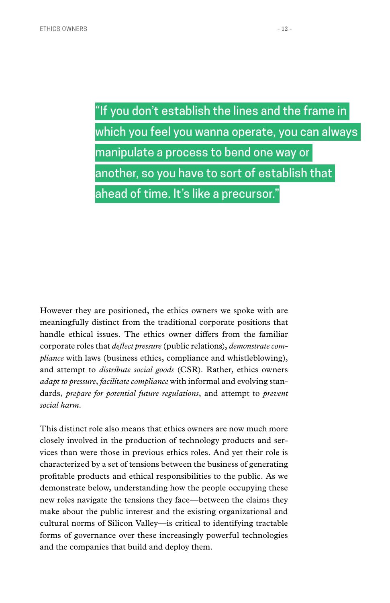"If you don't establish the lines and the frame in which you feel you wanna operate, you can always manipulate a process to bend one way or another, so you have to sort of establish that ahead of time. It's like a precursor."

However they are positioned, the ethics owners we spoke with are meaningfully distinct from the traditional corporate positions that handle ethical issues. The ethics owner differs from the familiar corporate roles that *deflect pressure* (public relations), *demonstrate compliance* with laws (business ethics, compliance and whistleblowing), and attempt to *distribute social goods* (CSR). Rather, ethics owners *adapt to pressure*, *facilitate compliance* with informal and evolving standards, *prepare for potential future regulations*, and attempt to *prevent social harm*.

This distinct role also means that ethics owners are now much more closely involved in the production of technology products and services than were those in previous ethics roles. And yet their role is characterized by a set of tensions between the business of generating profitable products and ethical responsibilities to the public. As we demonstrate below, understanding how the people occupying these new roles navigate the tensions they face—between the claims they make about the public interest and the existing organizational and cultural norms of Silicon Valley—is critical to identifying tractable forms of governance over these increasingly powerful technologies and the companies that build and deploy them.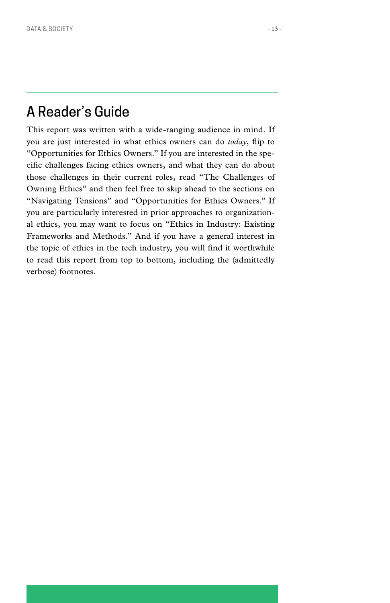### <span id="page-14-0"></span>A Reader's Guide

This report was written with a wide-ranging audience in mind. If you are just interested in what ethics owners can do *today*, flip to "Opportunities for Ethics Owners." If you are interested in the specific challenges facing ethics owners, and what they can do about those challenges in their current roles, read "The Challenges of Owning Ethics" and then feel free to skip ahead to the sections on "Navigating Tensions" and "Opportunities for Ethics Owners." If you are particularly interested in prior approaches to organizational ethics, you may want to focus on "Ethics in Industry: Existing Frameworks and Methods." And if you have a general interest in the topic of ethics in the tech industry, you will find it worthwhile to read this report from top to bottom, including the (admittedly verbose) footnotes.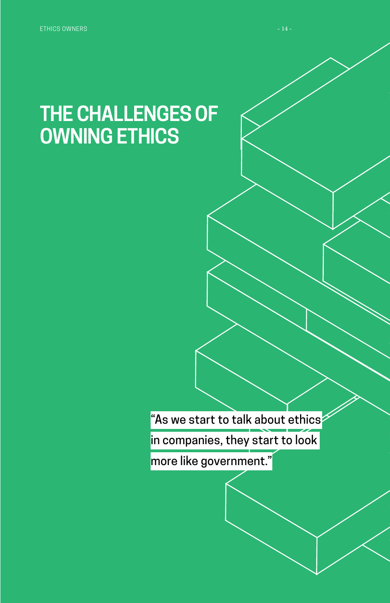## <span id="page-15-0"></span>**THE CHALLENGES OF OWNING ETHICS**

"As we start to talk about ethics

in companies, they start to look

more like government."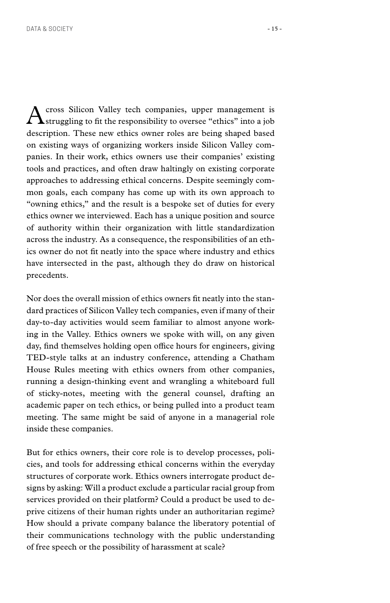$A$ cross Silicon Valley tech companies, upper management is struggling to fit the responsibility to oversee "ethics" into a job description. These new ethics owner roles are being shaped based on existing ways of organizing workers inside Silicon Valley companies. In their work, ethics owners use their companies' existing tools and practices, and often draw haltingly on existing corporate approaches to addressing ethical concerns. Despite seemingly common goals, each company has come up with its own approach to "owning ethics," and the result is a bespoke set of duties for every ethics owner we interviewed. Each has a unique position and source of authority within their organization with little standardization across the industry. As a consequence, the responsibilities of an ethics owner do not fit neatly into the space where industry and ethics have intersected in the past, although they do draw on historical precedents.

Nor does the overall mission of ethics owners fit neatly into the standard practices of Silicon Valley tech companies, even if many of their day-to-day activities would seem familiar to almost anyone working in the Valley. Ethics owners we spoke with will, on any given day, find themselves holding open office hours for engineers, giving TED-style talks at an industry conference, attending a Chatham House Rules meeting with ethics owners from other companies, running a design-thinking event and wrangling a whiteboard full of sticky-notes, meeting with the general counsel, drafting an academic paper on tech ethics, or being pulled into a product team meeting. The same might be said of anyone in a managerial role inside these companies.

But for ethics owners, their core role is to develop processes, policies, and tools for addressing ethical concerns within the everyday structures of corporate work. Ethics owners interrogate product designs by asking: Will a product exclude a particular racial group from services provided on their platform? Could a product be used to deprive citizens of their human rights under an authoritarian regime? How should a private company balance the liberatory potential of their communications technology with the public understanding of free speech or the possibility of harassment at scale?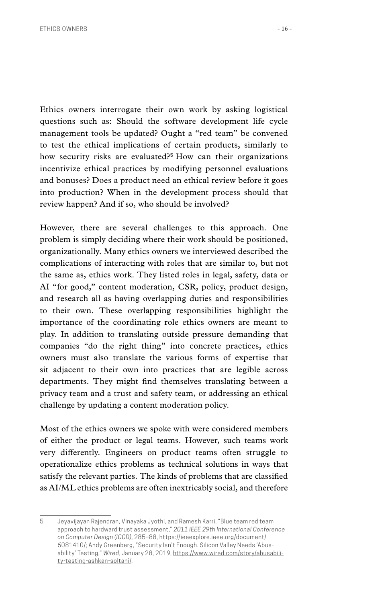Ethics owners interrogate their own work by asking logistical questions such as: Should the software development life cycle management tools be updated? Ought a "red team" be convened to test the ethical implications of certain products, similarly to how security risks are evaluated?**<sup>5</sup>** How can their organizations incentivize ethical practices by modifying personnel evaluations and bonuses? Does a product need an ethical review before it goes into production? When in the development process should that review happen? And if so, who should be involved?

However, there are several challenges to this approach. One problem is simply deciding where their work should be positioned, organizationally. Many ethics owners we interviewed described the complications of interacting with roles that are similar to, but not the same as, ethics work. They listed roles in legal, safety, data or AI "for good," content moderation, CSR, policy, product design, and research all as having overlapping duties and responsibilities to their own. These overlapping responsibilities highlight the importance of the coordinating role ethics owners are meant to play. In addition to translating outside pressure demanding that companies "do the right thing" into concrete practices, ethics owners must also translate the various forms of expertise that sit adjacent to their own into practices that are legible across departments. They might find themselves translating between a privacy team and a trust and safety team, or addressing an ethical challenge by updating a content moderation policy.

Most of the ethics owners we spoke with were considered members of either the product or legal teams. However, such teams work very differently. Engineers on product teams often struggle to operationalize ethics problems as technical solutions in ways that satisfy the relevant parties. The kinds of problems that are classified as AI/ML ethics problems are often inextricably social, and therefore

<sup>5</sup> Jeyavijayan Rajendran, Vinayaka Jyothi, and Ramesh Karri, "Blue team red team approach to hardward trust assessment," *2011 IEEE 29th International Conference on Computer Design (ICCD)*, 285–88, [https://ieeexplore.ieee.org/document/](https://ieeexplore.ieee.org/document/6081410/) [6081410/](https://ieeexplore.ieee.org/document/6081410/); Andy Greenberg, "Security Isn't Enough. Silicon Valley Needs 'Abusability' Testing," *Wired*, January 28, 2019, [https://www.wired.com/story/abusabili](https://www.wired.com/story/abusability-testing-ashkan-soltani/)[ty-testing-ashkan-soltani/](https://www.wired.com/story/abusability-testing-ashkan-soltani/).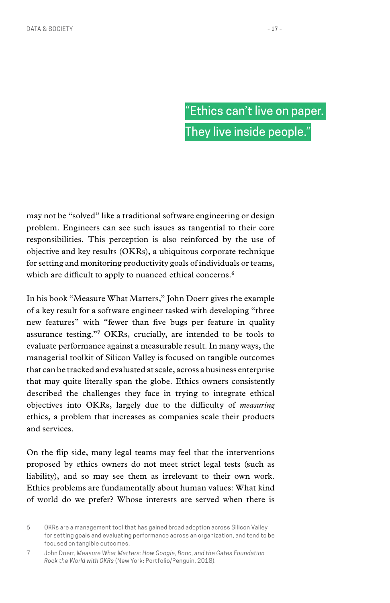## "Ethics can't live on paper. They live inside people."

may not be "solved" like a traditional software engineering or design problem. Engineers can see such issues as tangential to their core responsibilities. This perception is also reinforced by the use of objective and key results (OKRs), a ubiquitous corporate technique for setting and monitoring productivity goals of individuals or teams, which are difficult to apply to nuanced ethical concerns.**<sup>6</sup>**

In his book "Measure What Matters," John Doerr gives the example of a key result for a software engineer tasked with developing "three new features" with "fewer than five bugs per feature in quality assurance testing."**7** OKRs, crucially, are intended to be tools to evaluate performance against a measurable result. In many ways, the managerial toolkit of Silicon Valley is focused on tangible outcomes that can be tracked and evaluated at scale, across a business enterprise that may quite literally span the globe. Ethics owners consistently described the challenges they face in trying to integrate ethical objectives into OKRs, largely due to the difficulty of *measuring* ethics, a problem that increases as companies scale their products and services.

On the flip side, many legal teams may feel that the interventions proposed by ethics owners do not meet strict legal tests (such as liability), and so may see them as irrelevant to their own work. Ethics problems are fundamentally about human values: What kind of world do we prefer? Whose interests are served when there is

<sup>6</sup> OKRs are a management tool that has gained broad adoption across Silicon Valley for setting goals and evaluating performance across an organization, and tend to be focused on tangible outcomes.

<sup>7</sup> John Doerr, *Measure What Matters: How Google, Bono, and the Gates Foundation Rock the World with OKRs* (New York: Portfolio/Penguin, 2018).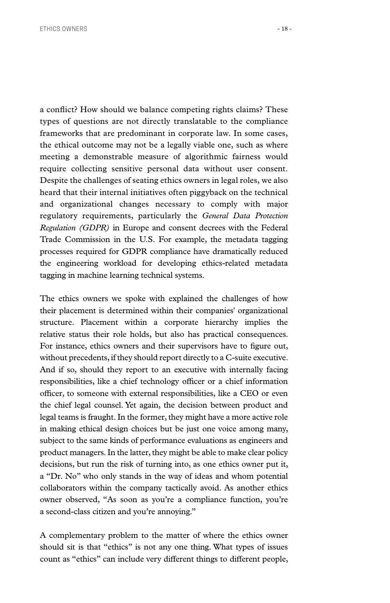a conflict? How should we balance competing rights claims? These types of questions are not directly translatable to the compliance frameworks that are predominant in corporate law. In some cases, the ethical outcome may not be a legally viable one, such as where meeting a demonstrable measure of algorithmic fairness would require collecting sensitive personal data without user consent. Despite the challenges of seating ethics owners in legal roles, we also heard that their internal initiatives often piggyback on the technical and organizational changes necessary to comply with major regulatory requirements, particularly the *General Data Protection Regulation (GDPR)* in Europe and consent decrees with the Federal Trade Commission in the U.S. For example, the metadata tagging processes required for GDPR compliance have dramatically reduced the engineering workload for developing ethics-related metadata

tagging in machine learning technical systems.

The ethics owners we spoke with explained the challenges of how their placement is determined within their companies' organizational structure. Placement within a corporate hierarchy implies the relative status their role holds, but also has practical consequences. For instance, ethics owners and their supervisors have to figure out, without precedents, if they should report directly to a C-suite executive. And if so, should they report to an executive with internally facing responsibilities, like a chief technology officer or a chief information officer, to someone with external responsibilities, like a CEO or even the chief legal counsel. Yet again, the decision between product and legal teams is fraught. In the former, they might have a more active role in making ethical design choices but be just one voice among many, subject to the same kinds of performance evaluations as engineers and product managers. In the latter, they might be able to make clear policy decisions, but run the risk of turning into, as one ethics owner put it, a "Dr. No" who only stands in the way of ideas and whom potential collaborators within the company tactically avoid. As another ethics owner observed, "As soon as you're a compliance function, you're a second-class citizen and you're annoying."

A complementary problem to the matter of where the ethics owner should sit is that "ethics" is not any one thing. What types of issues count as "ethics" can include very different things to different people,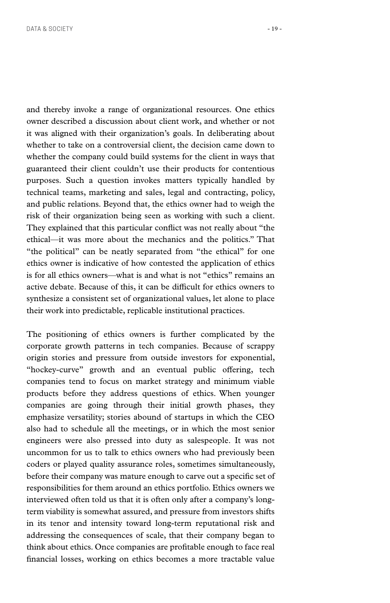and thereby invoke a range of organizational resources. One ethics owner described a discussion about client work, and whether or not it was aligned with their organization's goals. In deliberating about whether to take on a controversial client, the decision came down to whether the company could build systems for the client in ways that guaranteed their client couldn't use their products for contentious purposes. Such a question invokes matters typically handled by technical teams, marketing and sales, legal and contracting, policy, and public relations. Beyond that, the ethics owner had to weigh the risk of their organization being seen as working with such a client. They explained that this particular conflict was not really about "the ethical—it was more about the mechanics and the politics." That "the political" can be neatly separated from "the ethical" for one ethics owner is indicative of how contested the application of ethics is for all ethics owners—what is and what is not "ethics" remains an active debate. Because of this, it can be difficult for ethics owners to synthesize a consistent set of organizational values, let alone to place their work into predictable, replicable institutional practices.

The positioning of ethics owners is further complicated by the corporate growth patterns in tech companies. Because of scrappy origin stories and pressure from outside investors for exponential, "hockey-curve" growth and an eventual public offering, tech companies tend to focus on market strategy and minimum viable products before they address questions of ethics. When younger companies are going through their initial growth phases, they emphasize versatility; stories abound of startups in which the CEO also had to schedule all the meetings, or in which the most senior engineers were also pressed into duty as salespeople. It was not uncommon for us to talk to ethics owners who had previously been coders or played quality assurance roles, sometimes simultaneously, before their company was mature enough to carve out a specific set of responsibilities for them around an ethics portfolio. Ethics owners we interviewed often told us that it is often only after a company's longterm viability is somewhat assured, and pressure from investors shifts in its tenor and intensity toward long-term reputational risk and addressing the consequences of scale, that their company began to think about ethics. Once companies are profitable enough to face real financial losses, working on ethics becomes a more tractable value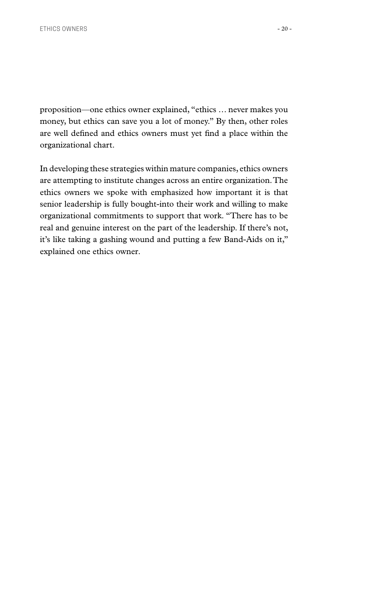proposition—one ethics owner explained, "ethics … never makes you money, but ethics can save you a lot of money." By then, other roles are well defined and ethics owners must yet find a place within the organizational chart.

In developing these strategies within mature companies, ethics owners are attempting to institute changes across an entire organization. The ethics owners we spoke with emphasized how important it is that senior leadership is fully bought-into their work and willing to make organizational commitments to support that work. "There has to be real and genuine interest on the part of the leadership. If there's not, it's like taking a gashing wound and putting a few Band-Aids on it," explained one ethics owner.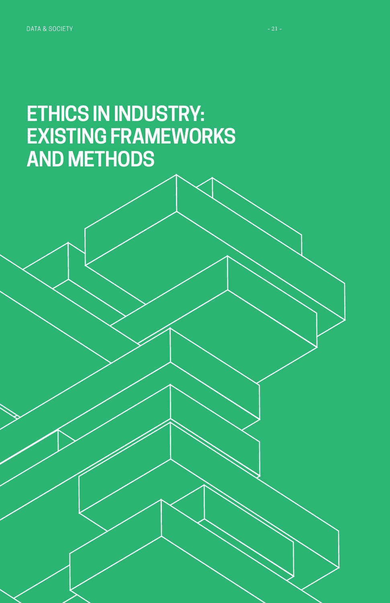<span id="page-22-0"></span>DATA & SOCIETY AND RESIDENCE IN A SOCIETY AND RELEASED FOR THE CONTRACT OF A SAMPLE OF A SAMPLE OF A SAMPLE OF

## **ETHICS IN INDUSTRY: EXISTING FRAMEWORKS AND METHODS**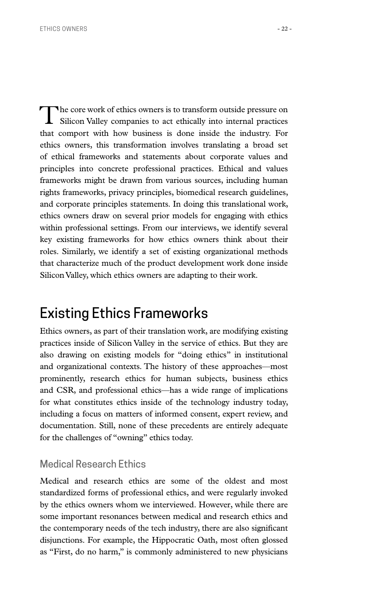<span id="page-23-0"></span>The core work of ethics owners is to transform outside pressure on Silicon Valley companies to act ethically into internal practices that comport with how business is done inside the industry. For ethics owners, this transformation involves translating a broad set of ethical frameworks and statements about corporate values and principles into concrete professional practices. Ethical and values frameworks might be drawn from various sources, including human rights frameworks, privacy principles, biomedical research guidelines, and corporate principles statements. In doing this translational work, ethics owners draw on several prior models for engaging with ethics within professional settings. From our interviews, we identify several key existing frameworks for how ethics owners think about their roles. Similarly, we identify a set of existing organizational methods that characterize much of the product development work done inside Silicon Valley, which ethics owners are adapting to their work.

### Existing Ethics Frameworks

Ethics owners, as part of their translation work, are modifying existing practices inside of Silicon Valley in the service of ethics. But they are also drawing on existing models for "doing ethics" in institutional and organizational contexts. The history of these approaches—most prominently, research ethics for human subjects, business ethics and CSR, and professional ethics—has a wide range of implications for what constitutes ethics inside of the technology industry today, including a focus on matters of informed consent, expert review, and documentation. Still, none of these precedents are entirely adequate for the challenges of "owning" ethics today.

#### Medical Research Ethics

Medical and research ethics are some of the oldest and most standardized forms of professional ethics, and were regularly invoked by the ethics owners whom we interviewed. However, while there are some important resonances between medical and research ethics and the contemporary needs of the tech industry, there are also significant disjunctions. For example, the Hippocratic Oath, most often glossed as "First, do no harm," is commonly administered to new physicians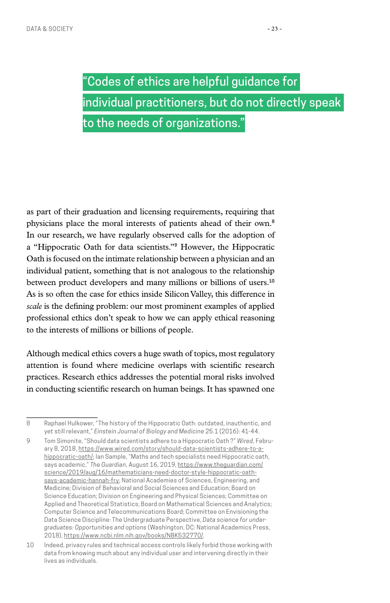"Codes of ethics are helpful guidance for individual practitioners, but do not directly speak to the needs of organizations."

as part of their graduation and licensing requirements, requiring that physicians place the moral interests of patients ahead of their own.**<sup>8</sup>** In our research, we have regularly observed calls for the adoption of a "Hippocratic Oath for data scientists."**9** However, the Hippocratic Oath is focused on the intimate relationship between a physician and an individual patient, something that is not analogous to the relationship between product developers and many millions or billions of users.**<sup>10</sup>** As is so often the case for ethics inside Silicon Valley, this difference in *scale* is the defining problem: our most prominent examples of applied professional ethics don't speak to how we can apply ethical reasoning to the interests of millions or billions of people.

Although medical ethics covers a huge swath of topics, most regulatory attention is found where medicine overlaps with scientific research practices. Research ethics addresses the potential moral risks involved in conducting scientific research on human beings. It has spawned one

8 Raphael Hulkower, "The history of the Hippocratic Oath: outdated, inauthentic, and yet still relevant," *Einstein Journal of Biology and Medicine* 25.1 (2016): 41-44.

9 Tom Simonite, "Should data scientists adhere to a Hippocratic Oath ?" *Wired,* February 8, 2018, [https://www.wired.com/story/should-data-scientists-adhere-to-a](https://www.wired.com/story/should-data-scientists-adhere-to-a-hippocratic-oath/)[hippocratic-oath/;](https://www.wired.com/story/should-data-scientists-adhere-to-a-hippocratic-oath/) Ian Sample, "Maths and tech specialists need Hippocratic oath, says academic," *The Guardian*, August 16, 2019, [https://www.theguardian.com/](https://www.theguardian.com/science/2019/aug/16/mathematicians-need-doctor-style-hippocratic-oath-says-academic-hannah-fry) [science/2019/aug/16/mathematicians-need-doctor-style-hippocratic-oath](https://www.theguardian.com/science/2019/aug/16/mathematicians-need-doctor-style-hippocratic-oath-says-academic-hannah-fry)[says-academic-hannah-fry;](https://www.theguardian.com/science/2019/aug/16/mathematicians-need-doctor-style-hippocratic-oath-says-academic-hannah-fry) National Academies of Sciences, Engineering, and Medicine; Division of Behavioral and Social Sciences and Education; Board on Science Education; Division on Engineering and Physical Sciences; Committee on Applied and Theoretical Statistics; Board on Mathematical Sciences and Analytics; Computer Science and Telecommunications Board; Committee on Envisioning the Data Science Discipline: The Undergraduate Perspective, *Data science for undergraduates: Opportunities and options* (Washington, DC: National Academics Press, 2018), <https://www.ncbi.nlm.nih.gov/books/NBK532770/>.

<sup>10</sup> Indeed, privacy rules and technical access controls likely forbid those working with data from knowing much about any individual user and intervening directly in their lives as individuals.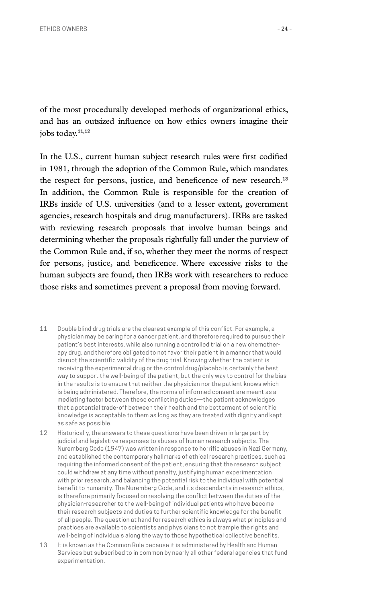of the most procedurally developed methods of organizational ethics, and has an outsized influence on how ethics owners imagine their jobs today.**11**,**<sup>12</sup>**

In the U.S., current human subject research rules were first codified in 1981, through the adoption of the Common Rule, which mandates the respect for persons, justice, and beneficence of new research.**<sup>13</sup>** In addition, the Common Rule is responsible for the creation of IRBs inside of U.S. universities (and to a lesser extent, government agencies, research hospitals and drug manufacturers). IRBs are tasked with reviewing research proposals that involve human beings and determining whether the proposals rightfully fall under the purview of the Common Rule and, if so, whether they meet the norms of respect for persons, justice, and beneficence. Where excessive risks to the human subjects are found, then IRBs work with researchers to reduce those risks and sometimes prevent a proposal from moving forward.

<sup>11</sup> Double blind drug trials are the clearest example of this conflict. For example, a physician may be caring for a cancer patient, and therefore required to pursue their patient's best interests, while also running a controlled trial on a new chemotherapy drug, and therefore obligated to not favor their patient in a manner that would disrupt the scientific validity of the drug trial. Knowing whether the patient is receiving the experimental drug or the control drug/placebo is certainly the best way to support the well-being of the patient, but the only way to control for the bias in the results is to ensure that neither the physician nor the patient knows which is being administered. Therefore, the norms of informed consent are meant as a mediating factor between these conflicting duties—the patient acknowledges that a potential trade-off between their health and the betterment of scientific knowledge is acceptable to them as long as they are treated with dignity and kept as safe as possible.

<sup>12</sup> Historically, the answers to these questions have been driven in large part by judicial and legislative responses to abuses of human research subjects. The Nuremberg Code (1947) was written in response to horrific abuses in Nazi Germany, and established the contemporary hallmarks of ethical research practices, such as requiring the informed consent of the patient, ensuring that the research subject could withdraw at any time without penalty, justifying human experimentation with prior research, and balancing the potential risk to the individual with potential benefit to humanity. The Nuremberg Code, and its descendants in research ethics, is therefore primarily focused on resolving the conflict between the duties of the physician-researcher to the well-being of individual patients who have become their research subjects and duties to further scientific knowledge for the benefit of all people. The question at hand for research ethics is always what principles and practices are available to scientists and physicians to not trample the rights and well-being of individuals along the way to those hypothetical collective benefits.

<sup>13</sup> It is known as the Common Rule because it is administered by Health and Human Services but subscribed to in common by nearly all other federal agencies that fund experimentation.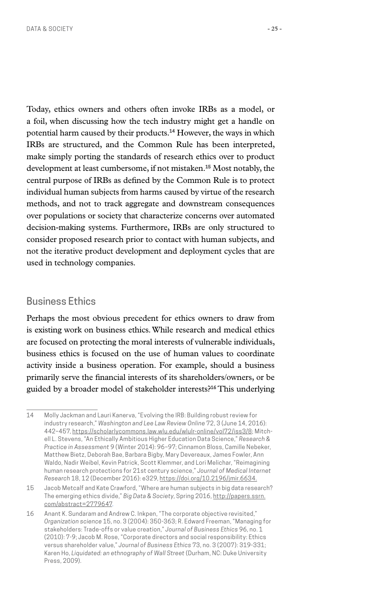Today, ethics owners and others often invoke IRBs as a model, or a foil, when discussing how the tech industry might get a handle on potential harm caused by their products.**14** However, the ways in which

IRBs are structured, and the Common Rule has been interpreted, make simply porting the standards of research ethics over to product development at least cumbersome, if not mistaken.**15** Most notably, the central purpose of IRBs as defined by the Common Rule is to protect individual human subjects from harms caused by virtue of the research methods, and not to track aggregate and downstream consequences over populations or society that characterize concerns over automated decision-making systems. Furthermore, IRBs are only structured to consider proposed research prior to contact with human subjects, and not the iterative product development and deployment cycles that are used in technology companies.

#### Business Ethics

Perhaps the most obvious precedent for ethics owners to draw from is existing work on business ethics. While research and medical ethics are focused on protecting the moral interests of vulnerable individuals, business ethics is focused on the use of human values to coordinate activity inside a business operation. For example, should a business primarily serve the financial interests of its shareholders/owners, or be guided by a broader model of stakeholder interests?**16** This underlying

<sup>14</sup> Molly Jackman and Lauri Kanerva, "Evolving the IRB: Building robust review for industry research," *Washington and Lee Law Review Online* 72, 3 (June 14, 2016): 442–457, [https://scholarlycommons.law.wlu.edu/wlulr-online/vol72/iss3/8;](https://scholarlycommons.law.wlu.edu/wlulr-online/vol72/iss3/8) Mitchell L. Stevens, "An Ethically Ambitious Higher Education Data Science," *Research & Practice in Assessment* 9 (Winter 2014): 96–97; Cinnamon Bloss, Camille Nebeker, Matthew Bietz, Deborah Bae, Barbara Bigby, Mary Devereaux, James Fowler, Ann Waldo, Nadir Weibel, Kevin Patrick, Scott Klemmer, and Lori Melichar, "Reimagining human research protections for 21st century science," *Journal of Medical Internet Research* 18, 12 (December 2016): e329, [https://doi.org/10.2196/jmir.6634.](https://doi.org/10.2196/jmir.6634)

<sup>15</sup> Jacob Metcalf and Kate Crawford, "Where are human subjects in big data research? The emerging ethics divide," *Big Data & Society*, Spring 2016[, http://papers.ssrn.](http://papers.ssrn.com/abstract=2779647) [com/abstract=2779647.](http://papers.ssrn.com/abstract=2779647)

<sup>16</sup> Anant K. Sundaram and Andrew C. Inkpen, "The corporate objective revisited," *Organization science* 15, no. 3 (2004): 350-363; R. Edward Freeman, "Managing for stakeholders: Trade-offs or value creation," *Journal of Business Ethics* 96, no. 1 (2010): 7-9; Jacob M. Rose, "Corporate directors and social responsibility: Ethics versus shareholder value," *Journal of Business Ethics* 73, no. 3 (2007): 319-331; Karen Ho, *Liquidated: an ethnography of Wall Street* (Durham, NC: Duke University Press, 2009).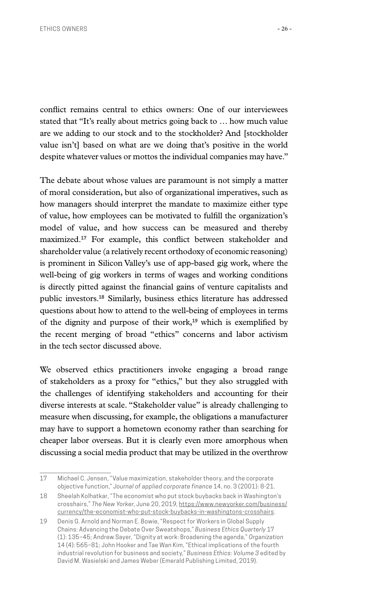conflict remains central to ethics owners: One of our interviewees stated that "It's really about metrics going back to … how much value are we adding to our stock and to the stockholder? And [stockholder value isn't] based on what are we doing that's positive in the world despite whatever values or mottos the individual companies may have."

The debate about whose values are paramount is not simply a matter of moral consideration, but also of organizational imperatives, such as how managers should interpret the mandate to maximize either type of value, how employees can be motivated to fulfill the organization's model of value, and how success can be measured and thereby maximized.**17** For example, this conflict between stakeholder and shareholder value (a relatively recent orthodoxy of economic reasoning) is prominent in Silicon Valley's use of app-based gig work, where the well-being of gig workers in terms of wages and working conditions is directly pitted against the financial gains of venture capitalists and public investors.**18** Similarly, business ethics literature has addressed questions about how to attend to the well-being of employees in terms of the dignity and purpose of their work,**19** which is exemplified by the recent merging of broad "ethics" concerns and labor activism in the tech sector discussed above.

We observed ethics practitioners invoke engaging a broad range of stakeholders as a proxy for "ethics," but they also struggled with the challenges of identifying stakeholders and accounting for their diverse interests at scale. "Stakeholder value" is already challenging to measure when discussing, for example, the obligations a manufacturer may have to support a hometown economy rather than searching for cheaper labor overseas. But it is clearly even more amorphous when discussing a social media product that may be utilized in the overthrow

<sup>17</sup> Michael C. Jensen, "Value maximization, stakeholder theory, and the corporate objective function," *Journal of applied corporate finance* 14, no. 3 (2001): 8-21.

<sup>18</sup> Sheelah Kolhatkar, "The economist who put stock buybacks back in Washington's crosshairs," *The New Yorker*, June 20, 2019[, https://www.newyorker.com/business/](https://www.newyorker.com/business/currency/the-economist-who-put-stock-buybacks-in-washingtons-crosshairs) [currency/the-economist-who-put-stock-buybacks-in-washingtons-crosshairs](https://www.newyorker.com/business/currency/the-economist-who-put-stock-buybacks-in-washingtons-crosshairs).

<sup>19</sup> Denis G. Arnold and Norman E. Bowie, "Respect for Workers in Global Supply Chains: Advancing the Debate Over Sweatshops," *Business Ethics Quarterly* 17 (1): 135–45; Andrew Sayer, "Dignity at work: Broadening the agenda," *Organization* 14 (4): 565–81; John Hooker and Tae Wan Kim, "Ethical implications of the fourth industrial revolution for business and society," *Business Ethics: Volume 3* edited by David M. Wasielski and James Weber (Emerald Publishing Limited, 2019).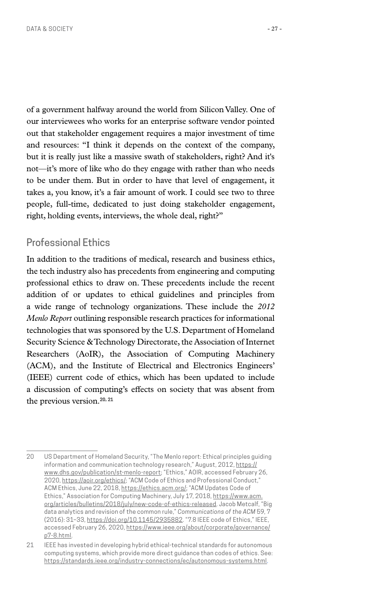of a government halfway around the world from Silicon Valley. One of our interviewees who works for an enterprise software vendor pointed out that stakeholder engagement requires a major investment of time and resources: "I think it depends on the context of the company, but it is really just like a massive swath of stakeholders, right? And it's not—it's more of like who do they engage with rather than who needs to be under them. But in order to have that level of engagement, it takes a, you know, it's a fair amount of work. I could see two to three people, full-time, dedicated to just doing stakeholder engagement, right, holding events, interviews, the whole deal, right?"

#### Professional Ethics

In addition to the traditions of medical, research and business ethics, the tech industry also has precedents from engineering and computing professional ethics to draw on. These precedents include the recent addition of or updates to ethical guidelines and principles from a wide range of technology organizations. These include the *2012 Menlo Report* outlining responsible research practices for informational technologies that was sponsored by the U.S. Department of Homeland Security Science & Technology Directorate, the Association of Internet Researchers (AoIR), the Association of Computing Machinery (ACM), and the Institute of Electrical and Electronics Engineers' (IEEE) current code of ethics, which has been updated to include a discussion of computing's effects on society that was absent from the previous version.**20**, **<sup>21</sup>**

<sup>20</sup> US Department of Homeland Security, "The Menlo report: Ethical principles guiding information and communication technology research," August, 2012, [https://](https://www.dhs.gov/publication/st-menlo-report) [www.dhs.gov/publication/st-menlo-report](https://www.dhs.gov/publication/st-menlo-report); "Ethics," AOIR, accessed February 26, 2020, [https://aoir.org/ethics/;](https://aoir.org/ethics/) "ACM Code of Ethics and Professional Conduct," ACM Ethics, June 22, 2018,<https://ethics.acm.org/>; "ACM Updates Code of Ethics," Association for Computing Machinery, July 17, 2018, [https://www.acm.](https://www.acm.org/articles/bulletins/2018/july/new-code-of-ethics-released) [org/articles/bulletins/2018/july/new-code-of-ethics-released.](https://www.acm.org/articles/bulletins/2018/july/new-code-of-ethics-released) Jacob Metcalf, "Big data analytics and revision of the common rule," *Communications of the ACM* 59, 7 (2016): 31–33, [https://doi.org/10.1145/2935882.](https://doi.org/10.1145/2935882) "7.8 IEEE code of Ethics," IEEE, accessed February 26, 2020, [https://www.ieee.org/about/corporate/governance/](https://www.ieee.org/about/corporate/governance/p7-8.html) [p7-8.html](https://www.ieee.org/about/corporate/governance/p7-8.html).

<sup>21</sup> IEEE has invested in developing hybrid ethical-technical standards for autonomous computing systems, which provide more direct guidance than codes of ethics. See: <https://standards.ieee.org/industry-connections/ec/autonomous-systems.html>.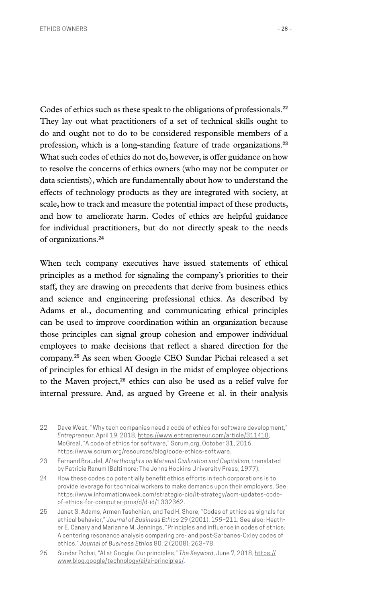Codes of ethics such as these speak to the obligations of professionals.**<sup>22</sup>** They lay out what practitioners of a set of technical skills ought to do and ought not to do to be considered responsible members of a profession, which is a long-standing feature of trade organizations.**<sup>23</sup>** What such codes of ethics do not do, however, is offer guidance on how to resolve the concerns of ethics owners (who may not be computer or data scientists), which are fundamentally about how to understand the effects of technology products as they are integrated with society, at scale, how to track and measure the potential impact of these products, and how to ameliorate harm. Codes of ethics are helpful guidance for individual practitioners, but do not directly speak to the needs of organizations.**<sup>24</sup>**

When tech company executives have issued statements of ethical principles as a method for signaling the company's priorities to their staff, they are drawing on precedents that derive from business ethics and science and engineering professional ethics. As described by Adams et al., documenting and communicating ethical principles can be used to improve coordination within an organization because those principles can signal group cohesion and empower individual employees to make decisions that reflect a shared direction for the company.**25** As seen when Google CEO Sundar Pichai released a set of principles for ethical AI design in the midst of employee objections to the Maven project,**26** ethics can also be used as a relief valve for internal pressure. And, as argued by Greene et al. in their analysis

<sup>22</sup> Dave West, "Why tech companies need a code of ethics for software development," *Entrepreneur*, April 19, 2018, [https://www.entrepreneur.com/article/311410;](https://www.entrepreneur.com/article/311410) McGreal, "A code of ethics for software," Scrum.org, October 31, 2016, [https://www.scrum.org/resources/blog/code-ethics-software.](https://www.scrum.org/resources/blog/code-ethics-software)

<sup>23</sup> Fernand Braudel, *Afterthoughts on Material Civilization and Capitalism*, translated by Patricia Ranum (Baltimore: The Johns Hopkins University Press, 1977).

<sup>24</sup> How these codes do potentially benefit ethics efforts in tech corporations is to provide leverage for technical workers to make demands upon their employers. See: [https://www.informationweek.com/strategic-cio/it-strategy/acm-updates-code](https://www.informationweek.com/strategic-cio/it-strategy/acm-updates-code-of-ethics-for-computer-pros/d/d-id/1332362)[of-ethics-for-computer-pros/d/d-id/1332362.](https://www.informationweek.com/strategic-cio/it-strategy/acm-updates-code-of-ethics-for-computer-pros/d/d-id/1332362)

<sup>25</sup> Janet S. Adams, Armen Tashchian, and Ted H. Shore, "Codes of ethics as signals for ethical behavior," *Journal of Business Ethics* 29 (2001), 199–211. See also: Heather E. Canary and Marianne M. Jennings, "Principles and influence in codes of ethics: A centering resonance analysis comparing pre- and post-Sarbanes-Oxley codes of ethics." *Journal of Business Ethics* 80, 2 (2008): 263–78.

<sup>26</sup> Sundar Pichai, "AI at Google: Our principles," *The Keyword*, June 7, 2018, [https://](https://www.blog.google/technology/ai/ai-principles/) [www.blog.google/technology/ai/ai-principles/.](https://www.blog.google/technology/ai/ai-principles/)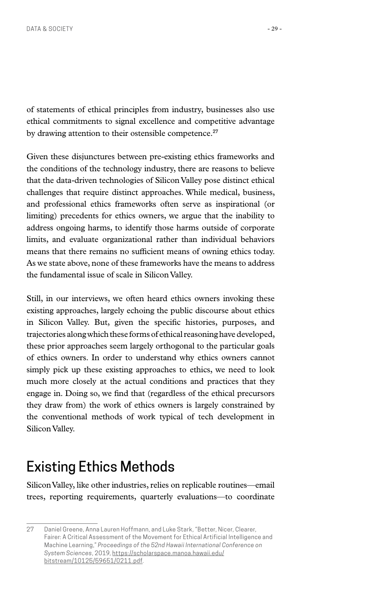<span id="page-30-0"></span>of statements of ethical principles from industry, businesses also use ethical commitments to signal excellence and competitive advantage by drawing attention to their ostensible competence.**<sup>27</sup>**

Given these disjunctures between pre-existing ethics frameworks and the conditions of the technology industry, there are reasons to believe that the data-driven technologies of Silicon Valley pose distinct ethical challenges that require distinct approaches. While medical, business, and professional ethics frameworks often serve as inspirational (or limiting) precedents for ethics owners, we argue that the inability to address ongoing harms, to identify those harms outside of corporate limits, and evaluate organizational rather than individual behaviors means that there remains no sufficient means of owning ethics today. As we state above, none of these frameworks have the means to address the fundamental issue of scale in Silicon Valley.

Still, in our interviews, we often heard ethics owners invoking these existing approaches, largely echoing the public discourse about ethics in Silicon Valley. But, given the specific histories, purposes, and trajectories along which these forms of ethical reasoning have developed, these prior approaches seem largely orthogonal to the particular goals of ethics owners. In order to understand why ethics owners cannot simply pick up these existing approaches to ethics, we need to look much more closely at the actual conditions and practices that they engage in. Doing so, we find that (regardless of the ethical precursors they draw from) the work of ethics owners is largely constrained by the conventional methods of work typical of tech development in Silicon Valley.

## Existing Ethics Methods

Silicon Valley, like other industries, relies on replicable routines—email trees, reporting requirements, quarterly evaluations—to coordinate

<sup>27</sup> Daniel Greene, Anna Lauren Hoffmann, and Luke Stark, "Better, Nicer, Clearer, Fairer: A Critical Assessment of the Movement for Ethical Artificial Intelligence and Machine Learning," *Proceedings of the 52nd Hawaii International Conference on System Sciences*, 2019, [https://scholarspace.manoa.hawaii.edu/](https://scholarspace.manoa.hawaii.edu/bitstream/10125/59651/0211.pdf) [bitstream/10125/59651/0211.pdf.](https://scholarspace.manoa.hawaii.edu/bitstream/10125/59651/0211.pdf)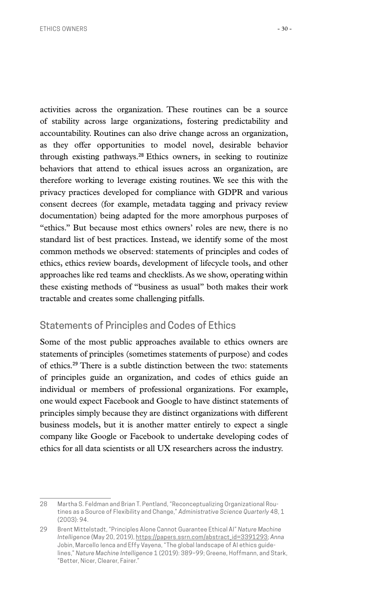activities across the organization. These routines can be a source of stability across large organizations, fostering predictability and accountability. Routines can also drive change across an organization, as they offer opportunities to model novel, desirable behavior through existing pathways.**<sup>28</sup>** Ethics owners, in seeking to routinize behaviors that attend to ethical issues across an organization, are therefore working to leverage existing routines. We see this with the privacy practices developed for compliance with GDPR and various consent decrees (for example, metadata tagging and privacy review documentation) being adapted for the more amorphous purposes of "ethics." But because most ethics owners' roles are new, there is no standard list of best practices. Instead, we identify some of the most common methods we observed: statements of principles and codes of ethics, ethics review boards, development of lifecycle tools, and other approaches like red teams and checklists. As we show, operating within these existing methods of "business as usual" both makes their work tractable and creates some challenging pitfalls.

### Statements of Principles and Codes of Ethics

Some of the most public approaches available to ethics owners are statements of principles (sometimes statements of purpose) and codes of ethics.**29** There is a subtle distinction between the two: statements of principles guide an organization, and codes of ethics guide an individual or members of professional organizations. For example, one would expect Facebook and Google to have distinct statements of principles simply because they are distinct organizations with different business models, but it is another matter entirely to expect a single company like Google or Facebook to undertake developing codes of ethics for all data scientists or all UX researchers across the industry.

<sup>28</sup> Martha S. Feldman and Brian T. Pentland, "Reconceptualizing Organizational Routines as a Source of Flexibility and Change," *Administrative Science Quarterly* 48, 1 (2003): 94.

<sup>29</sup> Brent Mittelstadt, "Principles Alone Cannot Guarantee Ethical AI" *Nature Machine Intelligence* (May 20, 2019), [https://papers.ssrn.com/abstract\\_id=3391293;](https://papers.ssrn.com/abstract_id=3391293) *Anna*  Jobin, Marcello Ienca and Effy Vayena, "The global landscape of AI ethics guidelines," *Nature Machine Intelligence* 1 (2019): 389–99; Greene, Hoffmann, and Stark, "Better, Nicer, Clearer, Fairer."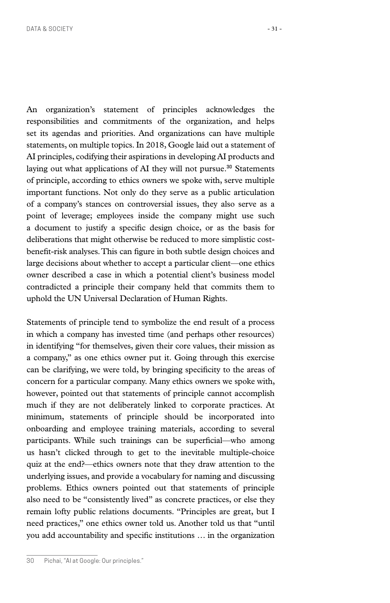An organization's statement of principles acknowledges the responsibilities and commitments of the organization, and helps set its agendas and priorities. And organizations can have multiple statements, on multiple topics. In 2018, Google laid out a statement of AI principles, codifying their aspirations in developing AI products and laying out what applications of AI they will not pursue.**30** Statements of principle, according to ethics owners we spoke with, serve multiple important functions. Not only do they serve as a public articulation of a company's stances on controversial issues, they also serve as a point of leverage; employees inside the company might use such a document to justify a specific design choice, or as the basis for deliberations that might otherwise be reduced to more simplistic costbenefit-risk analyses. This can figure in both subtle design choices and large decisions about whether to accept a particular client—one ethics owner described a case in which a potential client's business model contradicted a principle their company held that commits them to uphold the UN Universal Declaration of Human Rights.

Statements of principle tend to symbolize the end result of a process in which a company has invested time (and perhaps other resources) in identifying "for themselves, given their core values, their mission as a company," as one ethics owner put it. Going through this exercise can be clarifying, we were told, by bringing specificity to the areas of concern for a particular company. Many ethics owners we spoke with, however, pointed out that statements of principle cannot accomplish much if they are not deliberately linked to corporate practices. At minimum, statements of principle should be incorporated into onboarding and employee training materials, according to several participants. While such trainings can be superficial—who among us hasn't clicked through to get to the inevitable multiple-choice quiz at the end?—ethics owners note that they draw attention to the underlying issues, and provide a vocabulary for naming and discussing problems. Ethics owners pointed out that statements of principle also need to be "consistently lived" as concrete practices, or else they remain lofty public relations documents. "Principles are great, but I need practices," one ethics owner told us. Another told us that "until you add accountability and specific institutions … in the organization

<sup>30</sup> Pichai, "AI at Google: Our principles."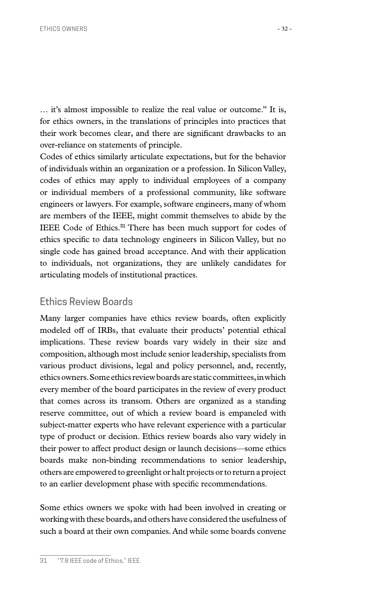… it's almost impossible to realize the real value or outcome." It is, for ethics owners, in the translations of principles into practices that their work becomes clear, and there are significant drawbacks to an over-reliance on statements of principle.

Codes of ethics similarly articulate expectations, but for the behavior of individuals within an organization or a profession. In Silicon Valley, codes of ethics may apply to individual employees of a company or individual members of a professional community, like software engineers or lawyers. For example, software engineers, many of whom are members of the IEEE, might commit themselves to abide by the IEEE Code of Ethics.**31** There has been much support for codes of ethics specific to data technology engineers in Silicon Valley, but no single code has gained broad acceptance. And with their application to individuals, not organizations, they are unlikely candidates for articulating models of institutional practices.

#### Ethics Review Boards

Many larger companies have ethics review boards, often explicitly modeled off of IRBs, that evaluate their products' potential ethical implications. These review boards vary widely in their size and composition, although most include senior leadership, specialists from various product divisions, legal and policy personnel, and, recently, ethics owners. Some ethics review boards are static committees, in which every member of the board participates in the review of every product that comes across its transom. Others are organized as a standing reserve committee, out of which a review board is empaneled with subject-matter experts who have relevant experience with a particular type of product or decision. Ethics review boards also vary widely in their power to affect product design or launch decisions—some ethics boards make non-binding recommendations to senior leadership, others are empowered to greenlight or halt projects or to return a project to an earlier development phase with specific recommendations.

Some ethics owners we spoke with had been involved in creating or working with these boards, and others have considered the usefulness of such a board at their own companies. And while some boards convene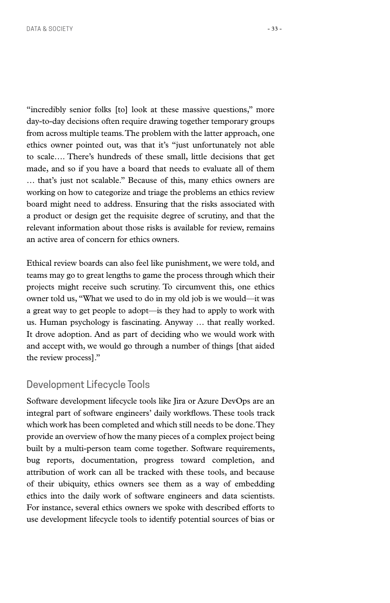"incredibly senior folks [to] look at these massive questions," more day-to-day decisions often require drawing together temporary groups from across multiple teams. The problem with the latter approach, one ethics owner pointed out, was that it's "just unfortunately not able to scale…. There's hundreds of these small, little decisions that get made, and so if you have a board that needs to evaluate all of them … that's just not scalable." Because of this, many ethics owners are working on how to categorize and triage the problems an ethics review board might need to address. Ensuring that the risks associated with a product or design get the requisite degree of scrutiny, and that the relevant information about those risks is available for review, remains an active area of concern for ethics owners.

Ethical review boards can also feel like punishment, we were told, and teams may go to great lengths to game the process through which their projects might receive such scrutiny. To circumvent this, one ethics owner told us, "What we used to do in my old job is we would—it was a great way to get people to adopt—is they had to apply to work with us. Human psychology is fascinating. Anyway … that really worked. It drove adoption. And as part of deciding who we would work with and accept with, we would go through a number of things [that aided the review process]."

#### Development Lifecycle Tools

Software development lifecycle tools like Jira or Azure DevOps are an integral part of software engineers' daily workflows. These tools track which work has been completed and which still needs to be done. They provide an overview of how the many pieces of a complex project being built by a multi-person team come together. Software requirements, bug reports, documentation, progress toward completion, and attribution of work can all be tracked with these tools, and because of their ubiquity, ethics owners see them as a way of embedding ethics into the daily work of software engineers and data scientists. For instance, several ethics owners we spoke with described efforts to use development lifecycle tools to identify potential sources of bias or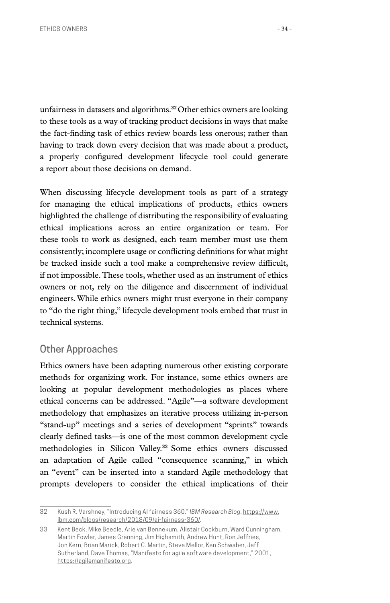unfairness in datasets and algorithms.**32**Other ethics owners are looking to these tools as a way of tracking product decisions in ways that make the fact-finding task of ethics review boards less onerous; rather than having to track down every decision that was made about a product, a properly configured development lifecycle tool could generate a report about those decisions on demand.

When discussing lifecycle development tools as part of a strategy for managing the ethical implications of products, ethics owners highlighted the challenge of distributing the responsibility of evaluating ethical implications across an entire organization or team. For these tools to work as designed, each team member must use them consistently; incomplete usage or conflicting definitions for what might be tracked inside such a tool make a comprehensive review difficult, if not impossible. These tools, whether used as an instrument of ethics owners or not, rely on the diligence and discernment of individual engineers. While ethics owners might trust everyone in their company to "do the right thing," lifecycle development tools embed that trust in technical systems.

#### Other Approaches

Ethics owners have been adapting numerous other existing corporate methods for organizing work. For instance, some ethics owners are looking at popular development methodologies as places where ethical concerns can be addressed. "Agile"—a software development methodology that emphasizes an iterative process utilizing in-person "stand-up" meetings and a series of development "sprints" towards clearly defined tasks—is one of the most common development cycle methodologies in Silicon Valley.**<sup>33</sup>** Some ethics owners discussed an adaptation of Agile called "consequence scanning," in which an "event" can be inserted into a standard Agile methodology that prompts developers to consider the ethical implications of their

<sup>32</sup> Kush R. Varshney, "Introducing AI fairness 360." *IBM Research Blog*. [https://www.](https://www.ibm.com/blogs/research/2018/09/ai-fairness-360/) [ibm.com/blogs/research/2018/09/ai-fairness-360/](https://www.ibm.com/blogs/research/2018/09/ai-fairness-360/).

<sup>33</sup> Kent Beck, Mike Beedle, Arie van Bennekum, Alistair Cockburn, Ward Cunningham, Martin Fowler, James Grenning, Jim Highsmith, Andrew Hunt, Ron Jeffries, Jon Kern, Brian Marick, Robert C. Martin, Steve Mellor, Ken Schwaber, Jeff Sutherland, Dave Thomas, "Manifesto for agile software development," 2001, <https://agilemanifesto.org>.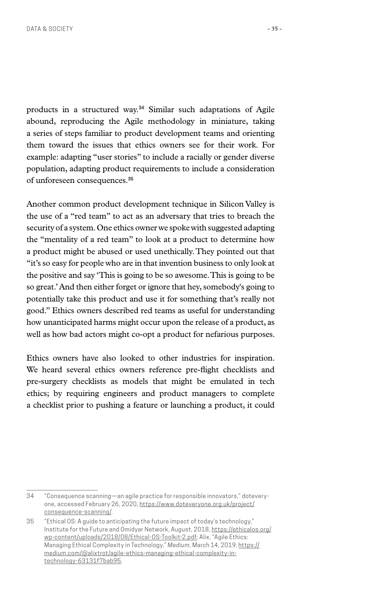products in a structured way.**34** Similar such adaptations of Agile abound, reproducing the Agile methodology in miniature, taking a series of steps familiar to product development teams and orienting them toward the issues that ethics owners see for their work. For example: adapting "user stories" to include a racially or gender diverse population, adapting product requirements to include a consideration of unforeseen consequences.**<sup>35</sup>**

Another common product development technique in Silicon Valley is the use of a "red team" to act as an adversary that tries to breach the security of a system. One ethics owner we spoke with suggested adapting the "mentality of a red team" to look at a product to determine how a product might be abused or used unethically. They pointed out that "it's so easy for people who are in that invention business to only look at the positive and say 'This is going to be so awesome. This is going to be so great.' And then either forget or ignore that hey, somebody's going to potentially take this product and use it for something that's really not good." Ethics owners described red teams as useful for understanding how unanticipated harms might occur upon the release of a product, as well as how bad actors might co-opt a product for nefarious purposes.

Ethics owners have also looked to other industries for inspiration. We heard several ethics owners reference pre-flight checklists and pre-surgery checklists as models that might be emulated in tech ethics; by requiring engineers and product managers to complete a checklist prior to pushing a feature or launching a product, it could

<sup>34</sup> "Consequence scanning—an agile practice for responsible innovators," doteveryone, accessed February 26, 2020, [https://www.doteveryone.org.uk/project/](https://www.doteveryone.org.uk/project/consequence-scanning/) [consequence-scanning/](https://www.doteveryone.org.uk/project/consequence-scanning/).

<sup>35</sup> "Ethical OS: A guide to anticipating the future impact of today's technology," Institute for the Future and Omidyar Network, August, 2018, [https://ethicalos.org/](https://ethicalos.org/wp-content/uploads/2018/08/Ethical-OS-Toolkit-2.pdf) [wp-content/uploads/2018/08/Ethical-OS-Toolkit-2.pdf;](https://ethicalos.org/wp-content/uploads/2018/08/Ethical-OS-Toolkit-2.pdf) Alix, "Agile Ethics: Managing Ethical Complexity in Technology," *Medium*, March 14, 2019, [https://](https://medium.com/@alixtrot/agile-ethics-managing-ethical-complexity-in-technology-63131f7bab95) [medium.com/@alixtrot/agile-ethics-managing-ethical-complexity-in](https://medium.com/@alixtrot/agile-ethics-managing-ethical-complexity-in-technology-63131f7bab95)[technology-63131f7bab95](https://medium.com/@alixtrot/agile-ethics-managing-ethical-complexity-in-technology-63131f7bab95).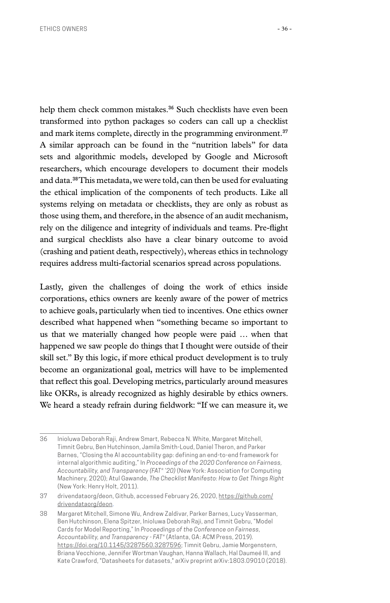help them check common mistakes.**36** Such checklists have even been transformed into python packages so coders can call up a checklist and mark items complete, directly in the programming environment.**<sup>37</sup>** A similar approach can be found in the "nutrition labels" for data sets and algorithmic models, developed by Google and Microsoft researchers, which encourage developers to document their models and data.**38** This metadata, we were told, can then be used for evaluating the ethical implication of the components of tech products. Like all systems relying on metadata or checklists, they are only as robust as those using them, and therefore, in the absence of an audit mechanism, rely on the diligence and integrity of individuals and teams. Pre-flight and surgical checklists also have a clear binary outcome to avoid (crashing and patient death, respectively), whereas ethics in technology requires address multi-factorial scenarios spread across populations.

Lastly, given the challenges of doing the work of ethics inside corporations, ethics owners are keenly aware of the power of metrics to achieve goals, particularly when tied to incentives. One ethics owner described what happened when "something became so important to us that we materially changed how people were paid … when that happened we saw people do things that I thought were outside of their skill set." By this logic, if more ethical product development is to truly become an organizational goal, metrics will have to be implemented that reflect this goal. Developing metrics, particularly around measures like OKRs, is already recognized as highly desirable by ethics owners. We heard a steady refrain during fieldwork: "If we can measure it, we

<sup>36</sup> Inioluwa Deborah Raji, Andrew Smart, Rebecca N. White, Margaret Mitchell, Timnit Gebru, Ben Hutchinson, Jamila Smith-Loud, Daniel Theron, and Parker Barnes, "Closing the AI accountability gap: defining an end-to-end framework for internal algorithmic auditing," In *Proceedings of the 2020 Conference on Fairness, Accountability, and Transparency (FAT\* '20)* (New York: Association for Computing Machinery, 2020); Atul Gawande, *The Checklist Manifesto: How to Get Things Right* (New York: Henry Holt, 2011).

<sup>37</sup> drivendataorg/deon, Github, accessed February 26, 2020, [https://github.com/](https://github.com/drivendataorg/deon) [drivendataorg/deon](https://github.com/drivendataorg/deon).

<sup>38</sup> Margaret Mitchell, Simone Wu, Andrew Zaldivar, Parker Barnes, Lucy Vasserman, Ben Hutchinson, Elena Spitzer, Inioluwa Deborah Raji, and Timnit Gebru, "Model Cards for Model Reporting," In *Proceedings of the Conference on Fairness, Accountability, and Transparency - FAT\** (Atlanta, GA: ACM Press, 2019)*.*  <https://doi.org/10.1145/3287560.3287596>; Timnit Gebru, Jamie Morgenstern, Briana Vecchione, Jennifer Wortman Vaughan, Hanna Wallach, Hal Daumeé III, and Kate Crawford, "Datasheets for datasets," arXiv preprint arXiv:1803.09010 (2018).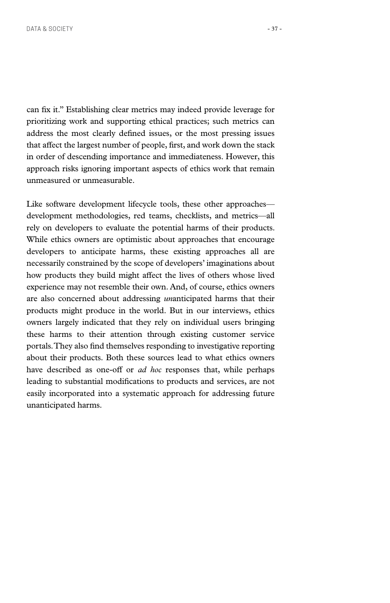can fix it." Establishing clear metrics may indeed provide leverage for prioritizing work and supporting ethical practices; such metrics can address the most clearly defined issues, or the most pressing issues that affect the largest number of people, first, and work down the stack in order of descending importance and immediateness. However, this approach risks ignoring important aspects of ethics work that remain unmeasured or unmeasurable.

Like software development lifecycle tools, these other approaches development methodologies, red teams, checklists, and metrics—all rely on developers to evaluate the potential harms of their products. While ethics owners are optimistic about approaches that encourage developers to anticipate harms, these existing approaches all are necessarily constrained by the scope of developers' imaginations about how products they build might affect the lives of others whose lived experience may not resemble their own. And, of course, ethics owners are also concerned about addressing *un*anticipated harms that their products might produce in the world. But in our interviews, ethics owners largely indicated that they rely on individual users bringing these harms to their attention through existing customer service portals. They also find themselves responding to investigative reporting about their products. Both these sources lead to what ethics owners have described as one-off or *ad hoc* responses that, while perhaps leading to substantial modifications to products and services, are not easily incorporated into a systematic approach for addressing future unanticipated harms.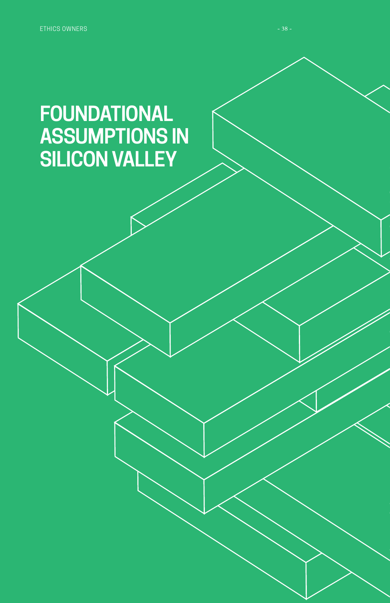# **FOUNDATIONAL ASSUMPTIONS IN SILICON VALLEY**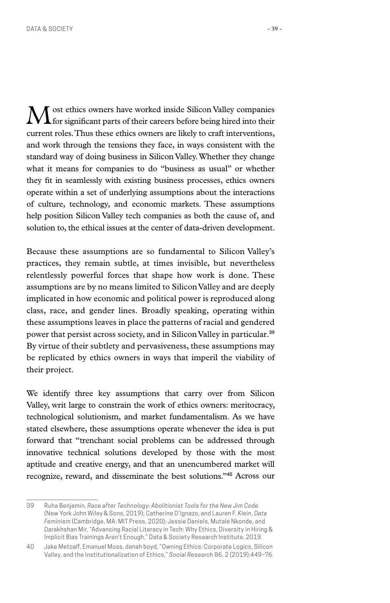ost ethics owners have worked inside Silicon Valley companies for significant parts of their careers before being hired into their current roles. Thus these ethics owners are likely to craft interventions, and work through the tensions they face, in ways consistent with the standard way of doing business in Silicon Valley. Whether they change what it means for companies to do "business as usual" or whether they fit in seamlessly with existing business processes, ethics owners operate within a set of underlying assumptions about the interactions of culture, technology, and economic markets. These assumptions help position Silicon Valley tech companies as both the cause of, and solution to, the ethical issues at the center of data-driven development.

Because these assumptions are so fundamental to Silicon Valley's practices, they remain subtle, at times invisible, but nevertheless relentlessly powerful forces that shape how work is done. These assumptions are by no means limited to Silicon Valley and are deeply implicated in how economic and political power is reproduced along class, race, and gender lines. Broadly speaking, operating within these assumptions leaves in place the patterns of racial and gendered power that persist across society, and in Silicon Valley in particular.**<sup>39</sup>** By virtue of their subtlety and pervasiveness, these assumptions may be replicated by ethics owners in ways that imperil the viability of their project.

We identify three key assumptions that carry over from Silicon Valley, writ large to constrain the work of ethics owners: meritocracy, technological solutionism, and market fundamentalism. As we have stated elsewhere, these assumptions operate whenever the idea is put forward that "trenchant social problems can be addressed through innovative technical solutions developed by those with the most aptitude and creative energy, and that an unencumbered market will recognize, reward, and disseminate the best solutions."**40** Across our

<sup>39</sup> Ruha Benjamin, *Race after Technology: Abolitionist Tools for the New Jim Code* (New York John Wiley & Sons, 2019); Catherine D'Ignazo, and Lauren F. Klein, *Data Feminism* (Cambridge, MA: MIT Press, 2020); Jessie Daniels, Mutale Nkonde, and Darakhshan Mir, "Advancing Racial Literacy in Tech: Why Ethics, Diversity in Hiring & Implicit Bias Trainings Aren't Enough," Data & Society Research Institute, 2019.

<sup>40</sup> Jake Metcalf, Emanuel Moss, danah boyd, "Owning Ethics: Corporate Logics, Silicon Valley, and the Institutionalization of Ethics," *Social Research* 86, 2 (2019):449–76.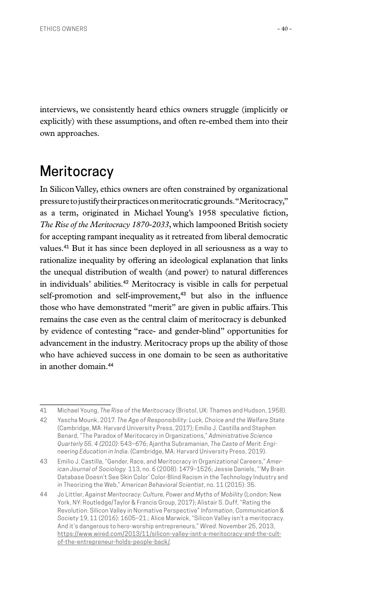interviews, we consistently heard ethics owners struggle (implicitly or explicitly) with these assumptions, and often re-embed them into their own approaches.

# **Meritocracy**

In Silicon Valley, ethics owners are often constrained by organizational pressure to justify their practices on meritocratic grounds. "Meritocracy," as a term, originated in Michael Young's 1958 speculative fiction, *The Rise of the Meritocracy 1870-2033*, which lampooned British society for accepting rampant inequality as it retreated from liberal democratic values.**41** But it has since been deployed in all seriousness as a way to rationalize inequality by offering an ideological explanation that links the unequal distribution of wealth (and power) to natural differences in individuals' abilities.**42** Meritocracy is visible in calls for perpetual self-promotion and self-improvement,**43** but also in the influence those who have demonstrated "merit" are given in public affairs. This remains the case even as the central claim of meritocracy is debunked by evidence of contesting "race- and gender-blind" opportunities for advancement in the industry. Meritocracy props up the ability of those who have achieved success in one domain to be seen as authoritative in another domain.**<sup>44</sup>**

<sup>41</sup> Michael Young, *The Rise of the Meritocracy* (Bristol, UK: Thames and Hudson, 1958).

<sup>42</sup> Yascha Mounk, 2017. *The Age of Responsibility: Luck, Choice and the Welfare State* (Cambridge, MA: Harvard University Press, 2017); Emilio J. Castilla and Stephen Benard, "The Paradox of Meritocarcy in Organizations," *Administrative Science Quarterly 55, 4 (2010)*: 543–676; Ajantha Subramanian, *The Caste of Merit: Engineering Education in India*. (Cambridge, MA: Harvard University Press, 2019).

<sup>43</sup> Emilio J. Castilla, "Gender, Race, and Meritocracy in Organizational Careers," *American Journal of Sociology* 113, no. 6 (2008): 1479–1526; Jessie Daniels, "'My Brain Database Doesn't See Skin Color' Color-Blind Racism in the Technology Industry and in Theorizing the Web," *American Behavioral Scientist*, no. 11 (2015): 35.

<sup>44</sup> Jo Littler, *Against Meritocracy: Culture, Power and Myths of Mobility* (London; New York, NY: Routledge/Taylor & Francis Group, 2017); Alistair S. Duff, "Rating the Revolution: Silicon Valley in Normative Perspective" *Information, Communication & Society* 19, 11 (2016): 1605–21.; Alice Marwick, "Silicon Valley isn't a meritocracy. And it's dangerous to hero-worship entrepreneurs," *Wired*[. November 25, 2013,](file:https://www.wired.com/2013/11/silicon-valley-isnt-a-meritocracy-and-the-cult-of-the-entrepreneur-holds-people-back/)  [https://www.wired.com/2013/11/silicon-valley-isnt-a-meritocracy-and-the-cult](file:https://www.wired.com/2013/11/silicon-valley-isnt-a-meritocracy-and-the-cult-of-the-entrepreneur-holds-people-back/)[of-the-entrepreneur-holds-people-back/](file:https://www.wired.com/2013/11/silicon-valley-isnt-a-meritocracy-and-the-cult-of-the-entrepreneur-holds-people-back/)*.*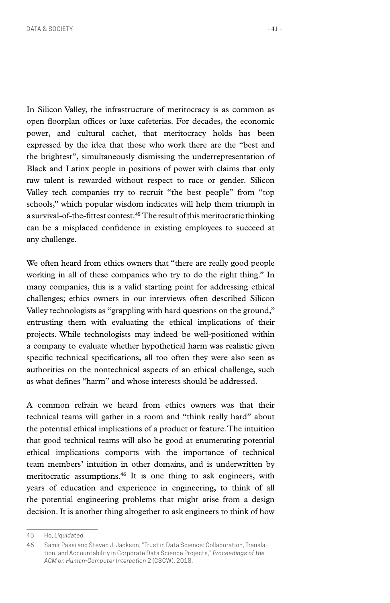In Silicon Valley, the infrastructure of meritocracy is as common as open floorplan offices or luxe cafeterias. For decades, the economic power, and cultural cachet, that meritocracy holds has been expressed by the idea that those who work there are the "best and the brightest", simultaneously dismissing the underrepresentation of Black and Latinx people in positions of power with claims that only raw talent is rewarded without respect to race or gender. Silicon Valley tech companies try to recruit "the best people" from "top schools," which popular wisdom indicates will help them triumph in a survival-of-the-fittest contest.**45** The result of this meritocratic thinking can be a misplaced confidence in existing employees to succeed at any challenge.

We often heard from ethics owners that "there are really good people working in all of these companies who try to do the right thing." In many companies, this is a valid starting point for addressing ethical challenges; ethics owners in our interviews often described Silicon Valley technologists as "grappling with hard questions on the ground," entrusting them with evaluating the ethical implications of their projects. While technologists may indeed be well-positioned within a company to evaluate whether hypothetical harm was realistic given specific technical specifications, all too often they were also seen as authorities on the nontechnical aspects of an ethical challenge, such as what defines "harm" and whose interests should be addressed.

A common refrain we heard from ethics owners was that their technical teams will gather in a room and "think really hard" about the potential ethical implications of a product or feature. The intuition that good technical teams will also be good at enumerating potential ethical implications comports with the importance of technical team members' intuition in other domains, and is underwritten by meritocratic assumptions.**46** It is one thing to ask engineers, with years of education and experience in engineering, to think of all the potential engineering problems that might arise from a design decision. It is another thing altogether to ask engineers to think of how

<sup>45</sup> Ho, *Liquidated*.

<sup>46</sup> Samir Passi and Steven J. Jackson, "Trust in Data Science: Collaboration, Translation, and Accountability in Corporate Data Science Projects," *Proceedings of the ACM on Human-Computer Interaction* 2 (CSCW), 2018.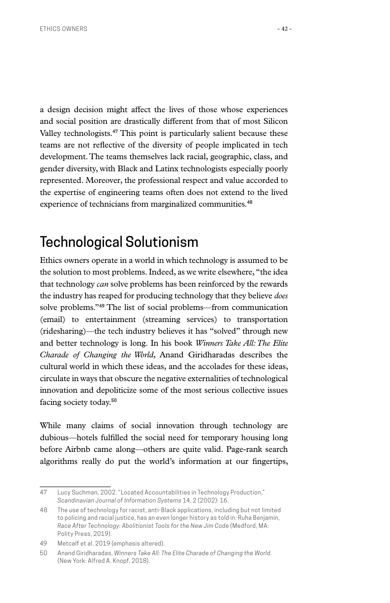a design decision might affect the lives of those whose experiences and social position are drastically different from that of most Silicon Valley technologists.**47** This point is particularly salient because these teams are not reflective of the diversity of people implicated in tech development. The teams themselves lack racial, geographic, class, and gender diversity, with Black and Latinx technologists especially poorly represented. Moreover, the professional respect and value accorded to the expertise of engineering teams often does not extend to the lived experience of technicians from marginalized communities.**<sup>48</sup>**

# Technological Solutionism

Ethics owners operate in a world in which technology is assumed to be the solution to most problems. Indeed, as we write elsewhere, "the idea that technology *can* solve problems has been reinforced by the rewards the industry has reaped for producing technology that they believe *does*  solve problems."**49** The list of social problems—from communication (email) to entertainment (streaming services) to transportation (ridesharing)—the tech industry believes it has "solved" through new and better technology is long. In his book *Winners Take All: The Elite Charade of Changing the World*, Anand Giridharadas describes the cultural world in which these ideas, and the accolades for these ideas, circulate in ways that obscure the negative externalities of technological innovation and depoliticize some of the most serious collective issues facing society today.**<sup>50</sup>**

While many claims of social innovation through technology are dubious—hotels fulfilled the social need for temporary housing long before Airbnb came along—others are quite valid. Page-rank search algorithms really do put the world's information at our fingertips,

<sup>47</sup> Lucy Suchman, 2002. "Located Accountabilities in Technology Production," *Scandinavian Journal of Information Systems* 14, 2 (2002): 16.

<sup>48</sup> The use of technology for racist, anti-Black applications, including but not limited to policing and racial justice, has an even longer history as told in: Ruha Benjamin, *Race After Technology: Abolitionist Tools for the New Jim Code* (Medford, MA: Polity Press, 2019).

<sup>49</sup> Metcalf et al. 2019 (emphasis altered).

<sup>50</sup> Anand Giridharadas, *Winners Take All: The Elite Charade of Changing the World*. (New York: Alfred A. Knopf, 2018).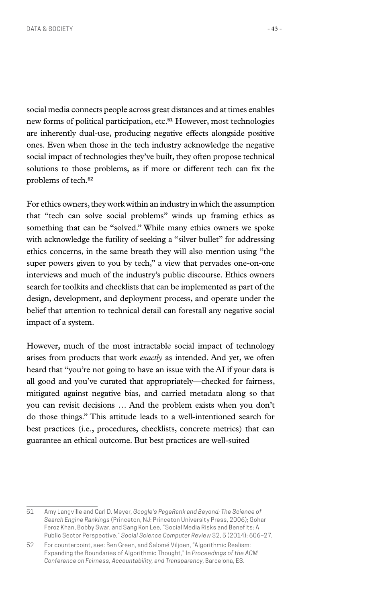social media connects people across great distances and at times enables new forms of political participation, etc.**51** However, most technologies are inherently dual-use, producing negative effects alongside positive ones. Even when those in the tech industry acknowledge the negative social impact of technologies they've built, they often propose technical solutions to those problems, as if more or different tech can fix the problems of tech.**<sup>52</sup>**

For ethics owners, they work within an industry in which the assumption that "tech can solve social problems" winds up framing ethics as something that can be "solved." While many ethics owners we spoke with acknowledge the futility of seeking a "silver bullet" for addressing ethics concerns, in the same breath they will also mention using "the super powers given to you by tech," a view that pervades one-on-one interviews and much of the industry's public discourse. Ethics owners search for toolkits and checklists that can be implemented as part of the design, development, and deployment process, and operate under the belief that attention to technical detail can forestall any negative social impact of a system.

However, much of the most intractable social impact of technology arises from products that work *exactly* as intended. And yet, we often heard that "you're not going to have an issue with the AI if your data is all good and you've curated that appropriately—checked for fairness, mitigated against negative bias, and carried metadata along so that you can revisit decisions … And the problem exists when you don't do those things." This attitude leads to a well-intentioned search for best practices (i.e., procedures, checklists, concrete metrics) that can guarantee an ethical outcome. But best practices are well-suited

<sup>51</sup> Amy Langville and Carl D. Meyer, *Google's PageRank and Beyond: The Science of Search Engine Rankings* (Princeton, NJ: Princeton University Press, 2006); Gohar Feroz Khan, Bobby Swar, and Sang Kon Lee, "Social Media Risks and Benefits: A Public Sector Perspective," *Social Science Computer Review* 32, 5 (2014): 606–27.

<sup>52</sup> For counterpoint, see: Ben Green, and Salomé Viljoen, "Algorithmic Realism: Expanding the Boundaries of Algorithmic Thought," In *Proceedings of the ACM Conference on Fairness, Accountability, and Transparency*, Barcelona, ES.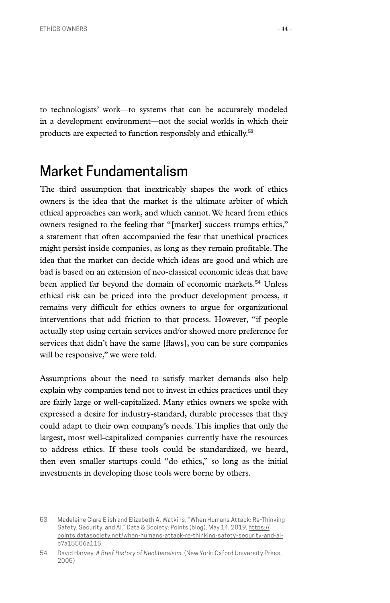to technologists' work—to systems that can be accurately modeled in a development environment—not the social worlds in which their products are expected to function responsibly and ethically.**<sup>53</sup>**

### Market Fundamentalism

The third assumption that inextricably shapes the work of ethics owners is the idea that the market is the ultimate arbiter of which ethical approaches can work, and which cannot. We heard from ethics owners resigned to the feeling that "[market] success trumps ethics," a statement that often accompanied the fear that unethical practices might persist inside companies, as long as they remain profitable. The idea that the market can decide which ideas are good and which are bad is based on an extension of neo-classical economic ideas that have been applied far beyond the domain of economic markets.**54** Unless ethical risk can be priced into the product development process, it remains very difficult for ethics owners to argue for organizational interventions that add friction to that process. However, "if people actually stop using certain services and/or showed more preference for services that didn't have the same [flaws], you can be sure companies will be responsive," we were told.

Assumptions about the need to satisfy market demands also help explain why companies tend not to invest in ethics practices until they are fairly large or well-capitalized. Many ethics owners we spoke with expressed a desire for industry-standard, durable processes that they could adapt to their own company's needs. This implies that only the largest, most well-capitalized companies currently have the resources to address ethics. If these tools could be standardized, we heard, then even smaller startups could "do ethics," so long as the initial investments in developing those tools were borne by others.

<sup>53</sup> Madeleine Clare Elish and Elizabeth A. Watkins, "When Humans Attack: Re-Thinking Safety, Security, and Al." Data & Society: Points (blog), May 14, 2019, [https://](https://points.datasociety.net/when-humans-attack-re-thinking-safety-security-and-ai-b7a15506a115) [points.datasociety.net/when-humans-attack-re-thinking-safety-security-and-ai](https://points.datasociety.net/when-humans-attack-re-thinking-safety-security-and-ai-b7a15506a115)[b7a15506a115.](https://points.datasociety.net/when-humans-attack-re-thinking-safety-security-and-ai-b7a15506a115)

<sup>54</sup> David Harvey, *A Brief History of Neoliberalsim*. (New York: Oxford University Press, 2005)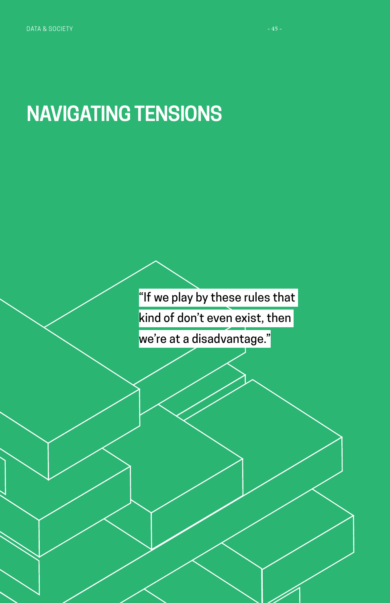# **NAVIGATING TENSIONS**

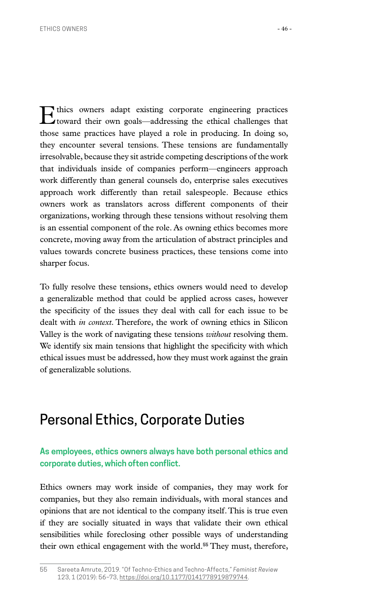Ethics owners adapt existing corporate engineering practices toward their own goals—addressing the ethical challenges that those same practices have played a role in producing. In doing so, they encounter several tensions. These tensions are fundamentally irresolvable, because they sit astride competing descriptions of the work that individuals inside of companies perform—engineers approach work differently than general counsels do, enterprise sales executives approach work differently than retail salespeople. Because ethics owners work as translators across different components of their organizations, working through these tensions without resolving them is an essential component of the role. As owning ethics becomes more concrete, moving away from the articulation of abstract principles and values towards concrete business practices, these tensions come into sharper focus.

To fully resolve these tensions, ethics owners would need to develop a generalizable method that could be applied across cases, however the specificity of the issues they deal with call for each issue to be dealt with *in context*. Therefore, the work of owning ethics in Silicon Valley is the work of navigating these tensions *without* resolving them. We identify six main tensions that highlight the specificity with which ethical issues must be addressed, how they must work against the grain of generalizable solutions.

## Personal Ethics, Corporate Duties

#### **As employees, ethics owners always have both personal ethics and corporate duties, which often conflict.**

Ethics owners may work inside of companies, they may work for companies, but they also remain individuals, with moral stances and opinions that are not identical to the company itself. This is true even if they are socially situated in ways that validate their own ethical sensibilities while foreclosing other possible ways of understanding their own ethical engagement with the world.**55** They must, therefore,

<sup>55</sup> Sareeta Amrute, 2019. "Of Techno-Ethics and Techno-Affects," *Feminist Review* 123, 1 (2019): 56–73, [https://doi.org/10.1177/0141778919879744.](https://doi.org/10.1177/0141778919879744)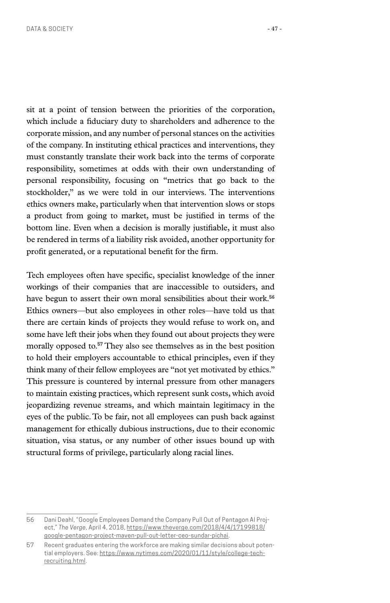sit at a point of tension between the priorities of the corporation, which include a fiduciary duty to shareholders and adherence to the corporate mission, and any number of personal stances on the activities of the company. In instituting ethical practices and interventions, they must constantly translate their work back into the terms of corporate responsibility, sometimes at odds with their own understanding of personal responsibility, focusing on "metrics that go back to the stockholder," as we were told in our interviews. The interventions ethics owners make, particularly when that intervention slows or stops a product from going to market, must be justified in terms of the bottom line. Even when a decision is morally justifiable, it must also be rendered in terms of a liability risk avoided, another opportunity for profit generated, or a reputational benefit for the firm.

Tech employees often have specific, specialist knowledge of the inner workings of their companies that are inaccessible to outsiders, and have begun to assert their own moral sensibilities about their work.**<sup>56</sup>** Ethics owners—but also employees in other roles—have told us that there are certain kinds of projects they would refuse to work on, and some have left their jobs when they found out about projects they were morally opposed to.**57** They also see themselves as in the best position to hold their employers accountable to ethical principles, even if they think many of their fellow employees are "not yet motivated by ethics." This pressure is countered by internal pressure from other managers to maintain existing practices, which represent sunk costs, which avoid jeopardizing revenue streams, and which maintain legitimacy in the eyes of the public. To be fair, not all employees can push back against management for ethically dubious instructions, due to their economic situation, visa status, or any number of other issues bound up with structural forms of privilege, particularly along racial lines.

<sup>56</sup> Dani Deahl, "Google Employees Demand the Company Pull Out of Pentagon AI Project," *The Verge*, April 4, 2018[, https://www.theverge.com/2018/4/4/17199818/](https://www.theverge.com/2018/4/4/17199818/google-pentagon-project-maven-pull-out-letter-ceo-sundar-pichai) [google-pentagon-project-maven-pull-out-letter-ceo-sundar-pichai](https://www.theverge.com/2018/4/4/17199818/google-pentagon-project-maven-pull-out-letter-ceo-sundar-pichai).

<sup>57</sup> Recent graduates entering the workforce are making similar decisions about potential employers. See: [https://www.nytimes.com/2020/01/11/style/college-tech](https://www.nytimes.com/2020/01/11/style/college-tech-recruiting.html)[recruiting.html](https://www.nytimes.com/2020/01/11/style/college-tech-recruiting.html).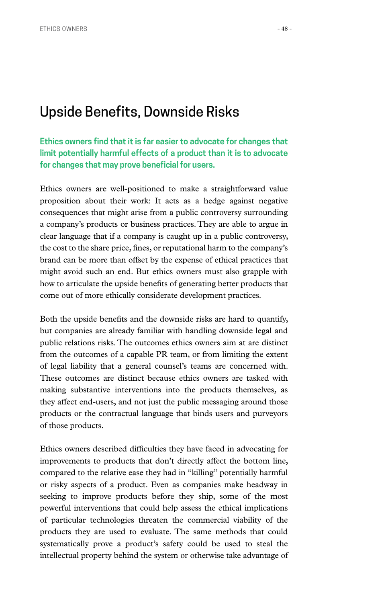### Upside Benefits, Downside Risks

**Ethics owners find that it is far easier to advocate for changes that limit potentially harmful effects of a product than it is to advocate for changes that may prove beneficial for users.**

Ethics owners are well-positioned to make a straightforward value proposition about their work: It acts as a hedge against negative consequences that might arise from a public controversy surrounding a company's products or business practices. They are able to argue in clear language that if a company is caught up in a public controversy, the cost to the share price, fines, or reputational harm to the company's brand can be more than offset by the expense of ethical practices that might avoid such an end. But ethics owners must also grapple with how to articulate the upside benefits of generating better products that come out of more ethically considerate development practices.

Both the upside benefits and the downside risks are hard to quantify, but companies are already familiar with handling downside legal and public relations risks. The outcomes ethics owners aim at are distinct from the outcomes of a capable PR team, or from limiting the extent of legal liability that a general counsel's teams are concerned with. These outcomes are distinct because ethics owners are tasked with making substantive interventions into the products themselves, as they affect end-users, and not just the public messaging around those products or the contractual language that binds users and purveyors of those products.

Ethics owners described difficulties they have faced in advocating for improvements to products that don't directly affect the bottom line, compared to the relative ease they had in "killing" potentially harmful or risky aspects of a product. Even as companies make headway in seeking to improve products before they ship, some of the most powerful interventions that could help assess the ethical implications of particular technologies threaten the commercial viability of the products they are used to evaluate. The same methods that could systematically prove a product's safety could be used to steal the intellectual property behind the system or otherwise take advantage of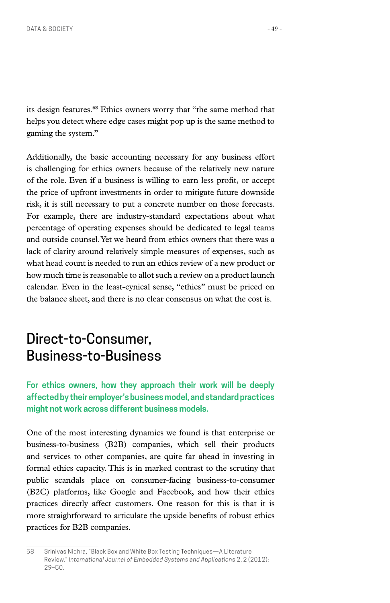its design features.**58** Ethics owners worry that "the same method that helps you detect where edge cases might pop up is the same method to gaming the system."

Additionally, the basic accounting necessary for any business effort is challenging for ethics owners because of the relatively new nature of the role. Even if a business is willing to earn less profit, or accept the price of upfront investments in order to mitigate future downside risk, it is still necessary to put a concrete number on those forecasts. For example, there are industry-standard expectations about what percentage of operating expenses should be dedicated to legal teams and outside counsel. Yet we heard from ethics owners that there was a lack of clarity around relatively simple measures of expenses, such as what head count is needed to run an ethics review of a new product or how much time is reasonable to allot such a review on a product launch calendar. Even in the least-cynical sense, "ethics" must be priced on the balance sheet, and there is no clear consensus on what the cost is.

# Direct-to-Consumer, Business-to-Business

**For ethics owners, how they approach their work will be deeply affected by their employer's business model, and standard practices might not work across different business models.**

One of the most interesting dynamics we found is that enterprise or business-to-business (B2B) companies, which sell their products and services to other companies, are quite far ahead in investing in formal ethics capacity. This is in marked contrast to the scrutiny that public scandals place on consumer-facing business-to-consumer (B2C) platforms, like Google and Facebook, and how their ethics practices directly affect customers. One reason for this is that it is more straightforward to articulate the upside benefits of robust ethics practices for B2B companies.

<sup>58</sup> Srinivas Nidhra, "Black Box and White Box Testing Techniques—A Literature Review." *International Journal of Embedded Systems and Applications* 2, 2 (2012): 29–50.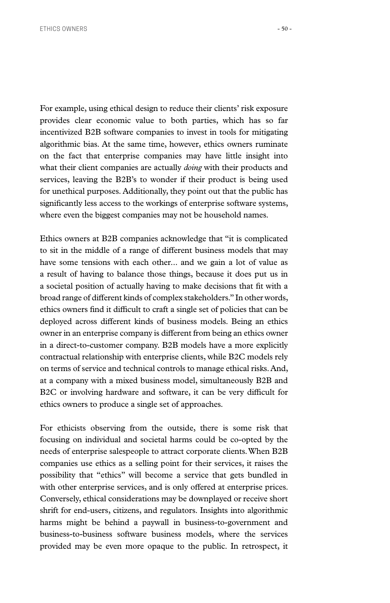For example, using ethical design to reduce their clients' risk exposure provides clear economic value to both parties, which has so far incentivized B2B software companies to invest in tools for mitigating algorithmic bias. At the same time, however, ethics owners ruminate on the fact that enterprise companies may have little insight into what their client companies are actually *doing* with their products and services, leaving the B2B's to wonder if their product is being used for unethical purposes. Additionally, they point out that the public has significantly less access to the workings of enterprise software systems, where even the biggest companies may not be household names.

Ethics owners at B2B companies acknowledge that "it is complicated to sit in the middle of a range of different business models that may have some tensions with each other... and we gain a lot of value as a result of having to balance those things, because it does put us in a societal position of actually having to make decisions that fit with a broad range of different kinds of complex stakeholders." In other words, ethics owners find it difficult to craft a single set of policies that can be deployed across different kinds of business models. Being an ethics owner in an enterprise company is different from being an ethics owner in a direct-to-customer company. B2B models have a more explicitly contractual relationship with enterprise clients, while B2C models rely on terms of service and technical controls to manage ethical risks. And, at a company with a mixed business model, simultaneously B2B and B2C or involving hardware and software, it can be very difficult for ethics owners to produce a single set of approaches.

For ethicists observing from the outside, there is some risk that focusing on individual and societal harms could be co-opted by the needs of enterprise salespeople to attract corporate clients. When B2B companies use ethics as a selling point for their services, it raises the possibility that "ethics" will become a service that gets bundled in with other enterprise services, and is only offered at enterprise prices. Conversely, ethical considerations may be downplayed or receive short shrift for end-users, citizens, and regulators. Insights into algorithmic harms might be behind a paywall in business-to-government and business-to-business software business models, where the services provided may be even more opaque to the public. In retrospect, it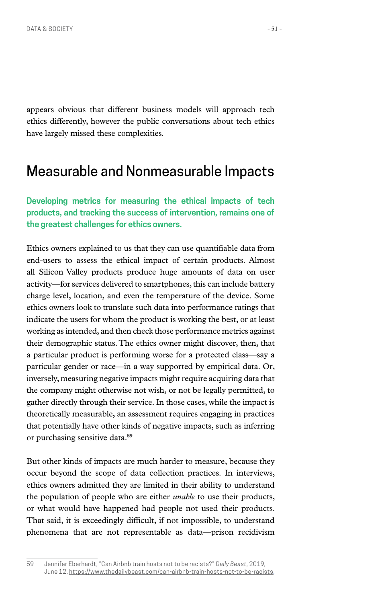appears obvious that different business models will approach tech ethics differently, however the public conversations about tech ethics have largely missed these complexities.

#### Measurable and Nonmeasurable Impacts

**Developing metrics for measuring the ethical impacts of tech products, and tracking the success of intervention, remains one of the greatest challenges for ethics owners.**

Ethics owners explained to us that they can use quantifiable data from end-users to assess the ethical impact of certain products. Almost all Silicon Valley products produce huge amounts of data on user activity—for services delivered to smartphones, this can include battery charge level, location, and even the temperature of the device. Some ethics owners look to translate such data into performance ratings that indicate the users for whom the product is working the best, or at least working as intended, and then check those performance metrics against their demographic status. The ethics owner might discover, then, that a particular product is performing worse for a protected class—say a particular gender or race—in a way supported by empirical data. Or, inversely, measuring negative impacts might require acquiring data that the company might otherwise not wish, or not be legally permitted, to gather directly through their service. In those cases, while the impact is theoretically measurable, an assessment requires engaging in practices that potentially have other kinds of negative impacts, such as inferring or purchasing sensitive data.**<sup>59</sup>**

But other kinds of impacts are much harder to measure, because they occur beyond the scope of data collection practices. In interviews, ethics owners admitted they are limited in their ability to understand the population of people who are either *unable* to use their products, or what would have happened had people not used their products. That said, it is exceedingly difficult, if not impossible, to understand phenomena that are not representable as data—prison recidivism

<sup>59</sup> Jennifer Eberhardt, "Can Airbnb train hosts not to be racists?" *Daily Beast*, 2019, June 12, [https://www.thedailybeast.com/can-airbnb-train-hosts-not-to-be-racists.](https://www.thedailybeast.com/can-airbnb-train-hosts-not-to-be-racists)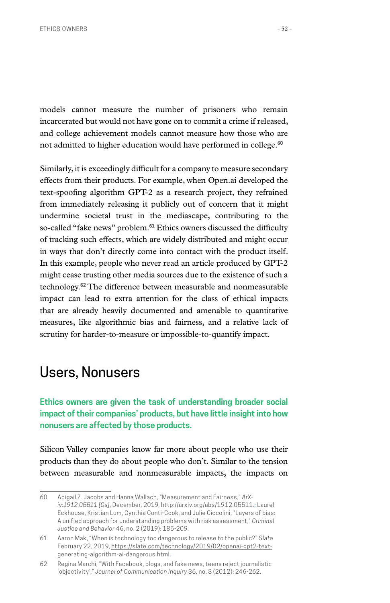models cannot measure the number of prisoners who remain incarcerated but would not have gone on to commit a crime if released, and college achievement models cannot measure how those who are not admitted to higher education would have performed in college.**<sup>60</sup>**

Similarly, it is exceedingly difficult for a company to measure secondary effects from their products. For example, when Open.ai developed the text-spoofing algorithm GPT-2 as a research project, they refrained from immediately releasing it publicly out of concern that it might undermine societal trust in the mediascape, contributing to the so-called "fake news" problem.**61** Ethics owners discussed the difficulty of tracking such effects, which are widely distributed and might occur in ways that don't directly come into contact with the product itself. In this example, people who never read an article produced by GPT-2 might cease trusting other media sources due to the existence of such a technology.**62** The difference between measurable and nonmeasurable impact can lead to extra attention for the class of ethical impacts that are already heavily documented and amenable to quantitative measures, like algorithmic bias and fairness, and a relative lack of scrutiny for harder-to-measure or impossible-to-quantify impact.

### Users, Nonusers

**Ethics owners are given the task of understanding broader social impact of their companies' products, but have little insight into how nonusers are affected by those products.**

Silicon Valley companies know far more about people who use their products than they do about people who don't. Similar to the tension between measurable and nonmeasurable impacts, the impacts on

<sup>60</sup> Abigail Z. Jacobs and Hanna Wallach, "Measurement and Fairness," *ArXiv:1912.05511 [Cs]*, December, 2019[, http://arxiv.org/abs/1912.05511.](http://arxiv.org/abs/1912.05511); Laurel Eckhouse, Kristian Lum, Cynthia Conti-Cook, and Julie Ciccolini, "Layers of bias: A unified approach for understanding problems with risk assessment," *Criminal Justice and Behavior* 46, no. 2 (2019): 185-209.

<sup>61</sup> Aaron Mak, "When is technology too dangerous to release to the public?" *Slate* February 22, 2019, [https://slate.com/technology/2019/02/openai-gpt2-text](https://slate.com/technology/2019/02/openai-gpt2-text-generating-algorithm-ai-dangerous.html)[generating-algorithm-ai-dangerous.html](https://slate.com/technology/2019/02/openai-gpt2-text-generating-algorithm-ai-dangerous.html).

<sup>62</sup> Regina Marchi, "With Facebook, blogs, and fake news, teens reject journalistic 'objectivity'," *Journal of Communication Inquiry* 36, no. 3 (2012): 246-262.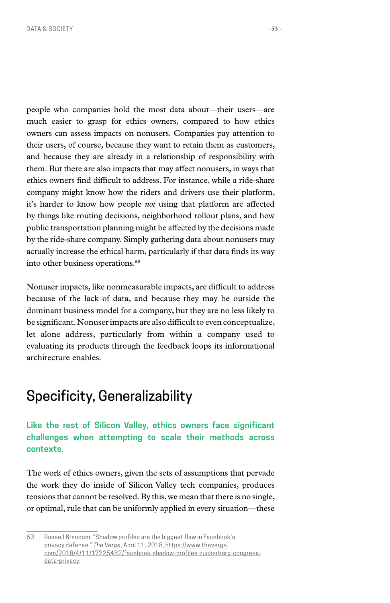people who companies hold the most data about—their users—are much easier to grasp for ethics owners, compared to how ethics owners can assess impacts on nonusers. Companies pay attention to their users, of course, because they want to retain them as customers, and because they are already in a relationship of responsibility with them. But there are also impacts that may affect nonusers, in ways that ethics owners find difficult to address. For instance, while a ride-share company might know how the riders and drivers use their platform, it's harder to know how people *not* using that platform are affected by things like routing decisions, neighborhood rollout plans, and how public transportation planning might be affected by the decisions made by the ride-share company. Simply gathering data about nonusers may actually increase the ethical harm, particularly if that data finds its way

Nonuser impacts, like nonmeasurable impacts, are difficult to address because of the lack of data, and because they may be outside the dominant business model for a company, but they are no less likely to be significant. Nonuser impacts are also difficult to even conceptualize, let alone address, particularly from within a company used to evaluating its products through the feedback loops its informational architecture enables.

# Specificity, Generalizability

into other business operations.**<sup>63</sup>**

#### **Like the rest of Silicon Valley, ethics owners face significant challenges when attempting to scale their methods across contexts.**

The work of ethics owners, given the sets of assumptions that pervade the work they do inside of Silicon Valley tech companies, produces tensions that cannot be resolved. By this, we mean that there is no single, or optimal, rule that can be uniformly applied in every situation—these

<sup>63</sup> Russell Brandom, "Shadow profiles are the biggest flaw in Facebook's privacy defense." *The Verge*, April 11, 2018, [https://www.theverge.](https://www.theverge.com/2018/4/11/17225482/facebook-shadow-profiles-zuckerberg-congress-data-privacy) [com/2018/4/11/17225482/facebook-shadow-profiles-zuckerberg-congress](https://www.theverge.com/2018/4/11/17225482/facebook-shadow-profiles-zuckerberg-congress-data-privacy)[data-privacy](https://www.theverge.com/2018/4/11/17225482/facebook-shadow-profiles-zuckerberg-congress-data-privacy).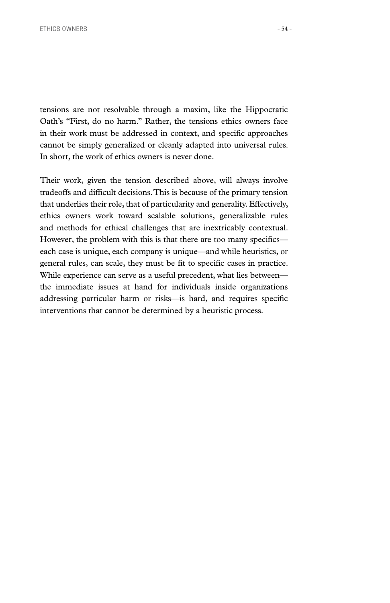tensions are not resolvable through a maxim, like the Hippocratic Oath's "First, do no harm." Rather, the tensions ethics owners face in their work must be addressed in context, and specific approaches cannot be simply generalized or cleanly adapted into universal rules. In short, the work of ethics owners is never done.

Their work, given the tension described above, will always involve tradeoffs and difficult decisions. This is because of the primary tension that underlies their role, that of particularity and generality. Effectively, ethics owners work toward scalable solutions, generalizable rules and methods for ethical challenges that are inextricably contextual. However, the problem with this is that there are too many specifics each case is unique, each company is unique—and while heuristics, or general rules, can scale, they must be fit to specific cases in practice. While experience can serve as a useful precedent, what lies between the immediate issues at hand for individuals inside organizations addressing particular harm or risks—is hard, and requires specific interventions that cannot be determined by a heuristic process.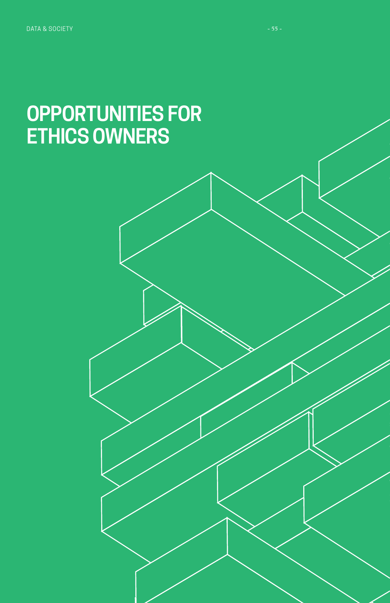# **OPPORTUNITIES FOR ETHICS OWNERS**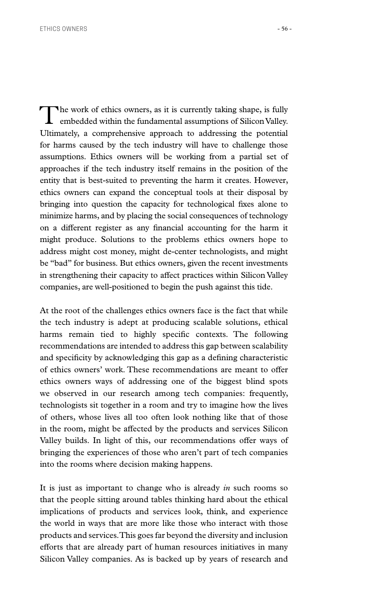The work of ethics owners, as it is currently taking shape, is fully embedded within the fundamental assumptions of Silicon Valley. Ultimately, a comprehensive approach to addressing the potential for harms caused by the tech industry will have to challenge those assumptions. Ethics owners will be working from a partial set of approaches if the tech industry itself remains in the position of the entity that is best-suited to preventing the harm it creates. However, ethics owners can expand the conceptual tools at their disposal by bringing into question the capacity for technological fixes alone to minimize harms, and by placing the social consequences of technology on a different register as any financial accounting for the harm it might produce. Solutions to the problems ethics owners hope to address might cost money, might de-center technologists, and might be "bad" for business. But ethics owners, given the recent investments in strengthening their capacity to affect practices within Silicon Valley companies, are well-positioned to begin the push against this tide.

At the root of the challenges ethics owners face is the fact that while the tech industry is adept at producing scalable solutions, ethical harms remain tied to highly specific contexts. The following recommendations are intended to address this gap between scalability and specificity by acknowledging this gap as a defining characteristic of ethics owners' work. These recommendations are meant to offer ethics owners ways of addressing one of the biggest blind spots we observed in our research among tech companies: frequently, technologists sit together in a room and try to imagine how the lives of others, whose lives all too often look nothing like that of those in the room, might be affected by the products and services Silicon Valley builds. In light of this, our recommendations offer ways of bringing the experiences of those who aren't part of tech companies into the rooms where decision making happens.

It is just as important to change who is already *in* such rooms so that the people sitting around tables thinking hard about the ethical implications of products and services look, think, and experience the world in ways that are more like those who interact with those products and services. This goes far beyond the diversity and inclusion efforts that are already part of human resources initiatives in many Silicon Valley companies. As is backed up by years of research and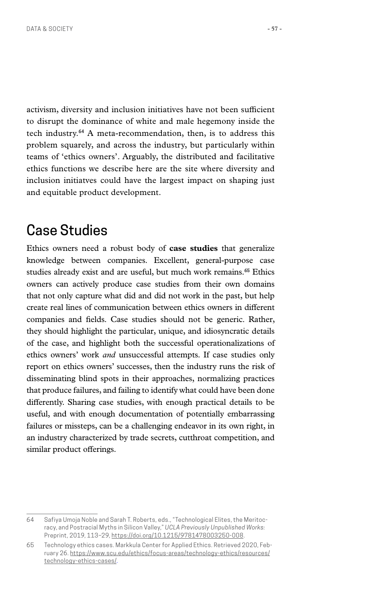activism, diversity and inclusion initiatives have not been sufficient to disrupt the dominance of white and male hegemony inside the tech industry.**64** A meta-recommendation, then, is to address this problem squarely, and across the industry, but particularly within teams of 'ethics owners'. Arguably, the distributed and facilitative

ethics functions we describe here are the site where diversity and inclusion initiatves could have the largest impact on shaping just and equitable product development.

# Case Studies

Ethics owners need a robust body of **case studies** that generalize knowledge between companies. Excellent, general-purpose case studies already exist and are useful, but much work remains.**65** Ethics owners can actively produce case studies from their own domains that not only capture what did and did not work in the past, but help create real lines of communication between ethics owners in different companies and fields. Case studies should not be generic. Rather, they should highlight the particular, unique, and idiosyncratic details of the case, and highlight both the successful operationalizations of ethics owners' work *and* unsuccessful attempts. If case studies only report on ethics owners' successes, then the industry runs the risk of disseminating blind spots in their approaches, normalizing practices that produce failures, and failing to identify what could have been done differently. Sharing case studies, with enough practical details to be useful, and with enough documentation of potentially embarrassing failures or missteps, can be a challenging endeavor in its own right, in an industry characterized by trade secrets, cutthroat competition, and similar product offerings.

<sup>64</sup> Safiya Umoja Noble and Sarah T. Roberts, eds., "Technological Elites, the Meritocracy, and Postracial Myths in Silicon Valley," *UCLA Previously Unpublished Works:*  Preprint, 2019, 113–29,<https://doi.org/10.1215/9781478003250-008>.

<sup>65</sup> Technology ethics cases. Markkula Center for Applied Ethics. Retrieved 2020, February 26. [https://www.scu.edu/ethics/focus-areas/technology-ethics/resources/](https://www.scu.edu/ethics/focus-areas/technology-ethics/resources/technology-ethics-cases/) [technology-ethics-cases/](https://www.scu.edu/ethics/focus-areas/technology-ethics/resources/technology-ethics-cases/).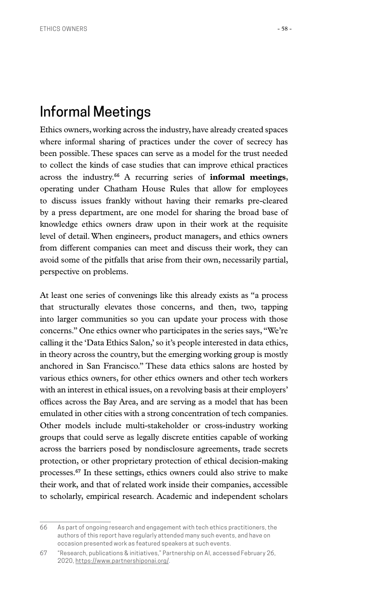### Informal Meetings

Ethics owners, working across the industry, have already created spaces where informal sharing of practices under the cover of secrecy has been possible. These spaces can serve as a model for the trust needed to collect the kinds of case studies that can improve ethical practices across the industry.**66** A recurring series of **informal meetings**, operating under Chatham House Rules that allow for employees to discuss issues frankly without having their remarks pre-cleared by a press department, are one model for sharing the broad base of knowledge ethics owners draw upon in their work at the requisite level of detail. When engineers, product managers, and ethics owners from different companies can meet and discuss their work, they can avoid some of the pitfalls that arise from their own, necessarily partial, perspective on problems.

At least one series of convenings like this already exists as "a process that structurally elevates those concerns, and then, two, tapping into larger communities so you can update your process with those concerns." One ethics owner who participates in the series says, "We're calling it the 'Data Ethics Salon,' so it's people interested in data ethics, in theory across the country, but the emerging working group is mostly anchored in San Francisco." These data ethics salons are hosted by various ethics owners, for other ethics owners and other tech workers with an interest in ethical issues, on a revolving basis at their employers' offices across the Bay Area, and are serving as a model that has been emulated in other cities with a strong concentration of tech companies. Other models include multi-stakeholder or cross-industry working groups that could serve as legally discrete entities capable of working across the barriers posed by nondisclosure agreements, trade secrets protection, or other proprietary protection of ethical decision-making processes.**67** In these settings, ethics owners could also strive to make their work, and that of related work inside their companies, accessible to scholarly, empirical research. Academic and independent scholars

<sup>66</sup> As part of ongoing research and engagement with tech ethics practitioners, the authors of this report have regularly attended many such events, and have on occasion presented work as featured speakers at such events.

<sup>67</sup> "Research, publications & initiatives," Partnership on AI, accessed February 26, 2020, <https://www.partnershiponai.org/>.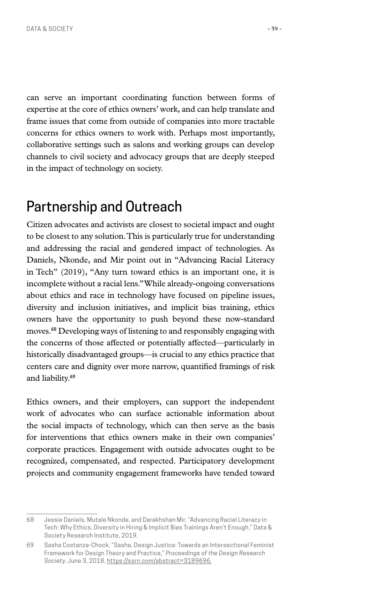can serve an important coordinating function between forms of expertise at the core of ethics owners' work, and can help translate and frame issues that come from outside of companies into more tractable concerns for ethics owners to work with. Perhaps most importantly, collaborative settings such as salons and working groups can develop channels to civil society and advocacy groups that are deeply steeped in the impact of technology on society.

## Partnership and Outreach

Citizen advocates and activists are closest to societal impact and ought to be closest to any solution. This is particularly true for understanding and addressing the racial and gendered impact of technologies. As Daniels, Nkonde, and Mir point out in "Advancing Racial Literacy in Tech" (2019), "Any turn toward ethics is an important one, it is incomplete without a racial lens." While already-ongoing conversations about ethics and race in technology have focused on pipeline issues, diversity and inclusion initiatives, and implicit bias training, ethics owners have the opportunity to push beyond these now-standard moves.**68** Developing ways of listening to and responsibly engaging with the concerns of those affected or potentially affected—particularly in historically disadvantaged groups—is crucial to any ethics practice that centers care and dignity over more narrow, quantified framings of risk and liability.**<sup>69</sup>**

Ethics owners, and their employers, can support the independent work of advocates who can surface actionable information about the social impacts of technology, which can then serve as the basis for interventions that ethics owners make in their own companies' corporate practices. Engagement with outside advocates ought to be recognized, compensated, and respected. Participatory development projects and community engagement frameworks have tended toward

<sup>68</sup> Jessie Daniels, Mutale Nkonde, and Darakhshan Mir, "Advancing Racial Literacy in Tech: Why Ethics, Diversity in Hiring & Implicit Bias Trainings Aren't Enough," Data & Society Research Institute, 2019.

<sup>69</sup> Sasha Costanza-Chock, "Sasha, Design Justice: Towards an Intersectional Feminist Framework for Design Theory and Practice," *Proceedings of the Design Research Society*, June 3, 2018, [https://ssrn.com/abstract=3189696.](https://ssrn.com/abstract=3189696)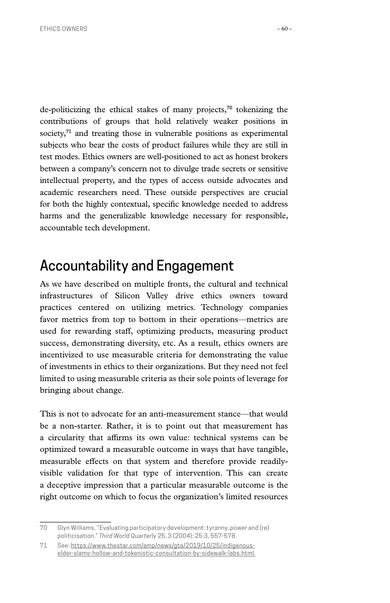de-politicizing the ethical stakes of many projects,**70** tokenizing the contributions of groups that hold relatively weaker positions in society,**71** and treating those in vulnerable positions as experimental subjects who bear the costs of product failures while they are still in test modes. Ethics owners are well-positioned to act as honest brokers between a company's concern not to divulge trade secrets or sensitive intellectual property, and the types of access outside advocates and academic researchers need. These outside perspectives are crucial for both the highly contextual, specific knowledge needed to address harms and the generalizable knowledge necessary for responsible, accountable tech development.

### Accountability and Engagement

As we have described on multiple fronts, the cultural and technical infrastructures of Silicon Valley drive ethics owners toward practices centered on utilizing metrics. Technology companies favor metrics from top to bottom in their operations—metrics are used for rewarding staff, optimizing products, measuring product success, demonstrating diversity, etc. As a result, ethics owners are incentivized to use measurable criteria for demonstrating the value of investments in ethics to their organizations. But they need not feel limited to using measurable criteria as their sole points of leverage for bringing about change.

This is not to advocate for an anti-measurement stance—that would be a non-starter. Rather, it is to point out that measurement has a circularity that affirms its own value: technical systems can be optimized toward a measurable outcome in ways that have tangible, measurable effects on that system and therefore provide readilyvisible validation for that type of intervention. This can create a deceptive impression that a particular measurable outcome is the right outcome on which to focus the organization's limited resources

<sup>70</sup> Glyn Williams, "Evaluating participatory development: tyranny, power and (re) politicisation." *Third World Quarterly* 25, 3 (2004): 25:3, 557-578.

<sup>71</sup> See: [https://www.thestar.com/amp/news/gta/2019/10/25/indigenous](https://www.thestar.com/amp/news/gta/2019/10/25/indigenous-elder-slams-hollow-and-tokenistic-consul)[elder-slams-hollow-and-tokenistic-consultation-by-sidewalk-labs.html](https://www.thestar.com/amp/news/gta/2019/10/25/indigenous-elder-slams-hollow-and-tokenistic-consul).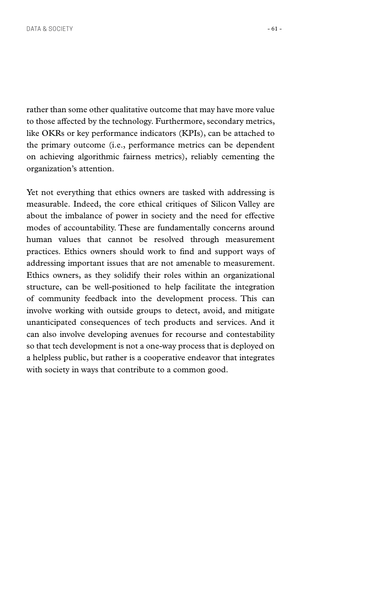rather than some other qualitative outcome that may have more value to those affected by the technology. Furthermore, secondary metrics, like OKRs or key performance indicators (KPIs), can be attached to the primary outcome (i.e., performance metrics can be dependent on achieving algorithmic fairness metrics), reliably cementing the organization's attention.

Yet not everything that ethics owners are tasked with addressing is measurable. Indeed, the core ethical critiques of Silicon Valley are about the imbalance of power in society and the need for effective modes of accountability. These are fundamentally concerns around human values that cannot be resolved through measurement practices. Ethics owners should work to find and support ways of addressing important issues that are not amenable to measurement. Ethics owners, as they solidify their roles within an organizational structure, can be well-positioned to help facilitate the integration of community feedback into the development process. This can involve working with outside groups to detect, avoid, and mitigate unanticipated consequences of tech products and services. And it can also involve developing avenues for recourse and contestability so that tech development is not a one-way process that is deployed on a helpless public, but rather is a cooperative endeavor that integrates with society in ways that contribute to a common good.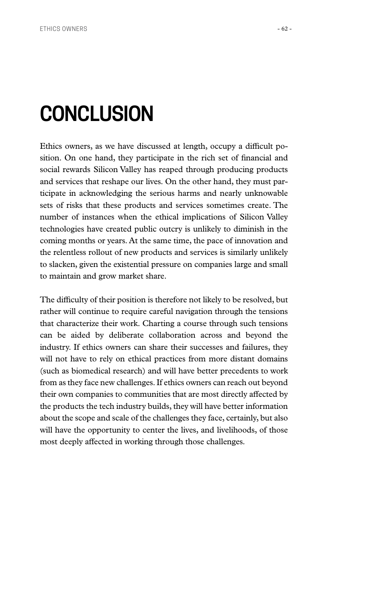# **CONCLUSION**

Ethics owners, as we have discussed at length, occupy a difficult position. On one hand, they participate in the rich set of financial and social rewards Silicon Valley has reaped through producing products and services that reshape our lives. On the other hand, they must participate in acknowledging the serious harms and nearly unknowable sets of risks that these products and services sometimes create. The number of instances when the ethical implications of Silicon Valley technologies have created public outcry is unlikely to diminish in the coming months or years. At the same time, the pace of innovation and the relentless rollout of new products and services is similarly unlikely to slacken, given the existential pressure on companies large and small to maintain and grow market share.

The difficulty of their position is therefore not likely to be resolved, but rather will continue to require careful navigation through the tensions that characterize their work. Charting a course through such tensions can be aided by deliberate collaboration across and beyond the industry. If ethics owners can share their successes and failures, they will not have to rely on ethical practices from more distant domains (such as biomedical research) and will have better precedents to work from as they face new challenges. If ethics owners can reach out beyond their own companies to communities that are most directly affected by the products the tech industry builds, they will have better information about the scope and scale of the challenges they face, certainly, but also will have the opportunity to center the lives, and livelihoods, of those most deeply affected in working through those challenges.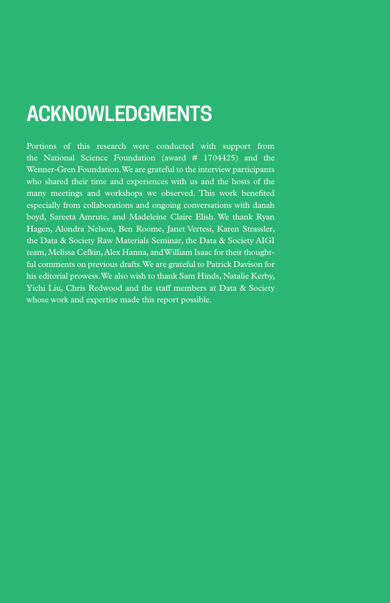# **ACKNOWLEDGMENTS**

Portions of this research were conducted with support from the National Science Foundation (award # 1704425) and the Wenner-Gren Foundation. We are grateful to the interview participants who shared their time and experiences with us and the hosts of the many meetings and workshops we observed. This work benefited especially from collaborations and ongoing conversations with danah boyd, Sareeta Amrute, and Madeleine Claire Elish. We thank Ryan Hagen, Alondra Nelson, Ben Roome, Janet Vertesi, Karen Strassler, the Data & Society Raw Materials Seminar, the Data & Society AIGI team, Melissa Cefkin, Alex Hanna, and William Isaac for their thoughtful comments on previous drafts. We are grateful to Patrick Davison for his editorial prowess. We also wish to thank Sam Hinds, Natalie Kerby, Yichi Liu, Chris Redwood and the staff members at Data & Society whose work and expertise made this report possible.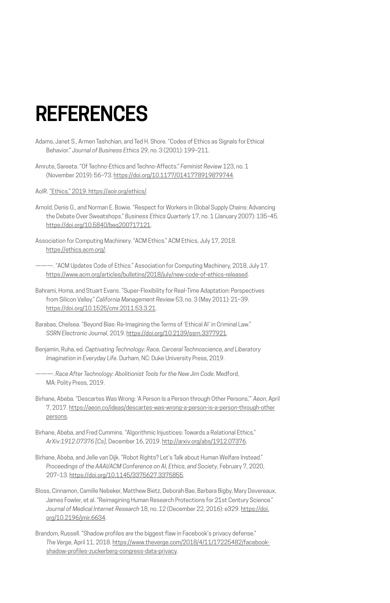# **REFERENCES**

- Adams, Janet S., Armen Tashchian, and Ted H. Shore. "Codes of Ethics as Signals for Ethical Behavior." *Journal of Business Ethics* 29, no. 3 (2001): 199–211.
- Amrute, Sareeta. "Of Techno-Ethics and Techno-Affects." *Feminist Review* 123, no. 1 (November 2019): 56–73. [https://doi.org/10.1177/0141778919879744.](https://doi.org/10.1177/0141778919879744)

AoIR. "Ethics," 2019. [https://aoir.org/ethics/.](https://aoir.org/ethics/)

- Arnold, Denis G., and Norman E. Bowie. "Respect for Workers in Global Supply Chains: Advancing the Debate Over Sweatshops." *Business Ethics Quarterly* 17, no. 1 (January 2007): 135–45. [https://doi.org/10.5840/beq200717121.](https://doi.org/10.5840/beq200717121)
- Association for Computing Machinery. "ACM Ethics." ACM Ethics, July 17, 2018. [https://ethics.acm.org/.](https://ethics.acm.org/)
- -. "ACM Updates Code of Ethics." Association for Computing Machinery, 2018, July 17. [https://www.acm.org/articles/bulletins/2018/july/new-code-of-ethics-released.](https://www.acm.org/articles/bulletins/2018/july/new-code-of-ethics-released)
- Bahrami, Homa, and Stuart Evans. "Super-Flexibility for Real-Time Adaptation: Perspectives from Silicon Valley." *California Management Review* 53, no. 3 (May 2011): 21–39. <https://doi.org/10.1525/cmr.2011.53.3.21>.
- Barabas, Chelsea. "Beyond Bias: Re-Imagining the Terms of 'Ethical AI' in Criminal Law." *SSRN Electronic Journal*, 2019.<https://doi.org/10.2139/ssrn.3377921>.
- Benjamin, Ruha, ed. *Captivating Technology: Race, Carceral Technoscience, and Liberatory Imagination in Everyday Life*. Durham, NC: Duke University Press, 2019.
- ———. *Race After Technology: Abolitionist Tools for the New Jim Code*. Medford, MA: Polity Press, 2019.
- Birhane, Abeba. "Descartes Was Wrong: 'A Person Is a Person through Other Persons,'" *Aeon*, April 7, 2017. [https://aeon.co/ideas/descartes-was-wrong-a-person-is-a-person-through-other](https://aeon.co/ideas/descartes-was-wrong-a-person-is-a-person-through-other-persons) [persons](https://aeon.co/ideas/descartes-was-wrong-a-person-is-a-person-through-other-persons).
- Birhane, Abeba, and Fred Cummins. "Algorithmic Injustices: Towards a Relational Ethics." *ArXiv:1912.07376 [Cs]*, December 16, 2019. [http://arxiv.org/abs/1912.07376.](http://arxiv.org/abs/1912.07376)
- Birhane, Abeba, and Jelle van Dijk. "Robot Rights? Let's Talk about Human Welfare Instead." *Proceedings of the AAAI/ACM Conference on AI, Ethics, and Society*, February 7, 2020, 207–13. [https://doi.org/10.1145/3375627.3375855.](https://doi.org/10.1145/3375627.3375855)
- Bloss, Cinnamon, Camille Nebeker, Matthew Bietz, Deborah Bae, Barbara Bigby, Mary Devereaux, James Fowler, et al. "Reimagining Human Research Protections for 21st Century Science." *Journal of Medical Internet Research* 18, no. 12 (December 22, 2016): e329. [https://doi.](https://doi.org/10.2196/jmir.6634) [org/10.2196/jmir.6634](https://doi.org/10.2196/jmir.6634).
- Brandom, Russell. "Shadow profiles are the biggest flaw in Facebook's privacy defense." *The Verge*, April 11, 2018. [https://www.theverge.com/2018/4/11/17225482/facebook](https://www.theverge.com/2018/4/11/17225482/facebook-shadow-profiles-zuckerberg-congress-data-privacy)[shadow-profiles-zuckerberg-congress-data-privacy.](https://www.theverge.com/2018/4/11/17225482/facebook-shadow-profiles-zuckerberg-congress-data-privacy)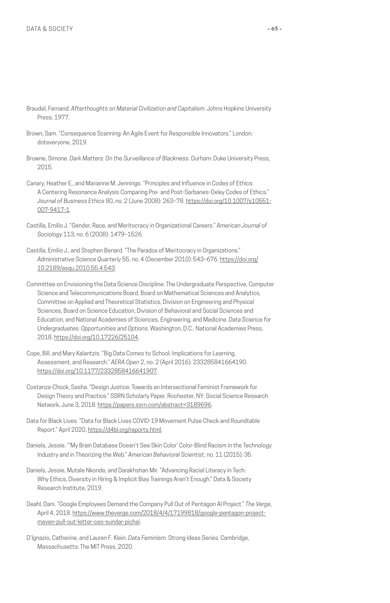- Braudel, Fernand. *Afterthoughts on Material Civilization and Capitalism*. Johns Hopkins University Press, 1977.
- Brown, Sam. "Consequence Scanning: An Agile Event for Responsible Innovators." London: doteveryone, 2019.
- Browne, Simone. *Dark Matters: On the Surveillance of Blackness*. Durham: Duke University Press, 2015.
- Canary, Heather E., and Marianne M. Jennings. "Principles and Influence in Codes of Ethics: A Centering Resonance Analysis Comparing Pre- and Post-Sarbanes-Oxley Codes of Ethics." *Journal of Business Ethics* 80, no. 2 (June 2008): 263–78. [https://doi.org/10.1007/s10551-](https://doi.org/10.1007/s10551-007-9417-1) [007-9417-1.](https://doi.org/10.1007/s10551-007-9417-1)
- Castilla, Emilio J. "Gender, Race, and Meritocracy in Organizational Careers." *American Journal of Sociology* 113, no. 6 (2008): 1479–1526.
- Castilla, Emilio J., and Stephen Benard. "The Paradox of Meritocracy in Organizations." *Administrative Science Quarterly* 55, no. 4 (December 2010): 543–676. [https://doi.org/](https://doi.org/10.2189/asqu.2010.55.4.543) [10.2189/asqu.2010.55.4.543.](https://doi.org/10.2189/asqu.2010.55.4.543)
- Committee on Envisioning the Data Science Discipline: The Undergraduate Perspective, Computer Science and Telecommunications Board, Board on Mathematical Sciences and Analytics, Committee on Applied and Theoretical Statistics, Division on Engineering and Physical Sciences, Board on Science Education, Division of Behavioral and Social Sciences and Education, and National Academies of Sciences, Engineering, and Medicine. *Data Science for Undergraduates: Opportunities and Options*. Washington, D.C.: National Academies Press, 2018. <https://doi.org/10.17226/25104>.
- Cope, Bill, and Mary Kalantzis. "Big Data Comes to School: Implications for Learning, Assessment, and Research." *AERA Open* 2, no. 2 (April 2016): 233285841664190. <https://doi.org/10.1177/2332858416641907>.
- Costanza-Chock, Sasha. "Design Justice: Towards an Intersectional Feminist Framework for Design Theory and Practice." SSRN Scholarly Paper. Rochester, NY: Social Science Research Network, June 3, 2018. [https://papers.ssrn.com/abstract=3189696.](https://papers.ssrn.com/abstract=3189696)
- Data for Black Lives. "Data for Black Lives COVID-19 Movement Pulse Check and Roundtable Report." April 2020, [https://d4bl.org/reports.html.](https://d4bl.org/reports.html)
- Daniels, Jessie. "'My Brain Database Doesn't See Skin Color' Color-Blind Racism in the Technology Industry and in Theorizing the Web." *American Behavioral Scientist*, no. 11 (2015): 35.
- Daniels, Jessie, Mutale Nkonde, and Darakhshan Mir. "Advancing Racial Literacy in Tech: Why Ethics, Diversity in Hiring & Implicit Bias Trainings Aren't Enough." Data & Society Research Institute, 2019.
- Deahl, Dani. "Google Employees Demand the Company Pull Out of Pentagon AI Project." *The Verge*, April 4, 2018. [https://www.theverge.com/2018/4/4/17199818/google-pentagon-project](https://www.theverge.com/2018/4/4/17199818/google-pentagon-project-maven-pull-out-letter-ceo-sundar-pichai)[maven-pull-out-letter-ceo-sundar-pichai](https://www.theverge.com/2018/4/4/17199818/google-pentagon-project-maven-pull-out-letter-ceo-sundar-pichai).
- D'Ignazio, Catherine, and Lauren F. Klein. *Data Feminism*. Strong Ideas Series. Cambridge, Massachusetts: The MIT Press, 2020.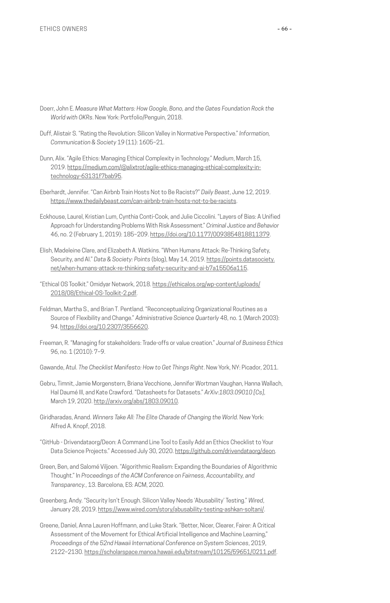- Doerr, John E. *Measure What Matters: How Google, Bono, and the Gates Foundation Rock the World with OKRs*. New York: Portfolio/Penguin, 2018.
- Duff, Alistair S. "Rating the Revolution: Silicon Valley in Normative Perspective." *Information, Communication & Society* 19 (11): 1605–21.
- Dunn, Alix. "Agile Ethics: Managing Ethical Complexity in Technology." *Medium*, March 15, 2019. [https://medium.com/@alixtrot/agile-ethics-managing-ethical-complexity-in](https://medium.com/@alixtrot/agile-ethics-managing-ethical-complexity-in-technology-63131f7bab95)[technology-63131f7bab95](https://medium.com/@alixtrot/agile-ethics-managing-ethical-complexity-in-technology-63131f7bab95).
- Eberhardt, Jennifer. "Can Airbnb Train Hosts Not to Be Racists?" *Daily Beast*, June 12, 2019. <https://www.thedailybeast.com/can-airbnb-train-hosts-not-to-be-racists>.
- Eckhouse, Laurel, Kristian Lum, Cynthia Conti-Cook, and Julie Ciccolini. "Layers of Bias: A Unified Approach for Understanding Problems With Risk Assessment." *Criminal Justice and Behavior* 46, no. 2 (February 1, 2019): 185–209. [https://doi.org/10.1177/0093854818811379.](https://doi.org/10.1177/0093854818811379)
- Elish, Madeleine Clare, and Elizabeth A. Watkins. "When Humans Attack: Re-Thinking Safety, Security, and AI." *Data & Society: Points* (blog), May 14, 2019. [https://points.datasociety.](https://points.datasociety.net/when-humans-attack-re-thinking-safety-security-and-ai-b7a15506a115) [net/when-humans-attack-re-thinking-safety-security-and-ai-b7a15506a115](https://points.datasociety.net/when-humans-attack-re-thinking-safety-security-and-ai-b7a15506a115).
- "Ethical OS Toolkit." Omidyar Network, 2018. [https://ethicalos.org/wp-content/uploads/](https://ethicalos.org/wp-content/uploads/2018/08/Ethical-OS-Toolkit-2.pdf) [2018/08/Ethical-OS-Toolkit-2.pdf.](https://ethicalos.org/wp-content/uploads/2018/08/Ethical-OS-Toolkit-2.pdf)
- Feldman, Martha S., and Brian T. Pentland. "Reconceptualizing Organizational Routines as a Source of Flexibility and Change." *Administrative Science Quarterly* 48, no. 1 (March 2003): 94.<https://doi.org/10.2307/3556620>.
- Freeman, R. "Managing for stakeholders: Trade-offs or value creation." *Journal of Business Ethics* 96, no. 1 (2010): 7–9.
- Gawande, Atul. *The Checklist Manifesto: How to Get Things Right*. New York, NY: Picador, 2011.
- Gebru, Timnit, Jamie Morgenstern, Briana Vecchione, Jennifer Wortman Vaughan, Hanna Wallach, Hal Daumé III, and Kate Crawford. "Datasheets for Datasets." *ArXiv:1803.09010 [Cs]*, March 19, 2020. [http://arxiv.org/abs/1803.09010.](http://arxiv.org/abs/1803.09010)
- Giridharadas, Anand. *Winners Take All: The Elite Charade of Changing the World*. New York: Alfred A. Knopf, 2018.
- "GitHub Drivendataorg/Deon: A Command Line Tool to Easily Add an Ethics Checklist to Your Data Science Projects." Accessed July 30, 2020. <https://github.com/drivendataorg/deon>.
- Green, Ben, and Salomé Viljoen. "Algorithmic Realism: Expanding the Boundaries of Algorithmic Thought." In *Proceedings of the ACM Conference on Fairness, Accountability, and Transparency.*, 13. Barcelona, ES: ACM, 2020.
- Greenberg, Andy. "Security Isn't Enough. Silicon Valley Needs 'Abusability' Testing." *Wired*, January 28, 2019. <https://www.wired.com/story/abusability-testing-ashkan-soltani/>.
- Greene, Daniel, Anna Lauren Hoffmann, and Luke Stark. "Better, Nicer, Clearer, Fairer: A Critical Assessment of the Movement for Ethical Artificial Intelligence and Machine Learning," *Proceedings of the 52nd Hawaii International Conference on System Sciences*, 2019, 2122–2130. [https://scholarspace.manoa.hawaii.edu/bitstream/10125/59651/0211.pdf.](https://scholarspace.manoa.hawaii.edu/bitstream/10125/59651/0211.pdf)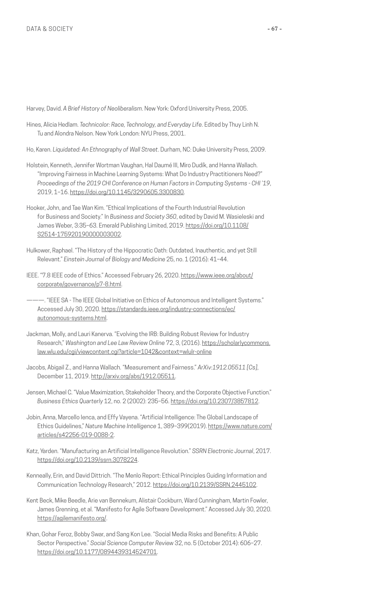Harvey, David. *A Brief History of Neoliberalism*. New York: Oxford University Press, 2005.

- Hines, Alicia Hedlam. *Technicolor: Race, Technology, and Everyday Life*. Edited by Thuy Linh N. Tu and Alondra Nelson. New York London: NYU Press, 2001.
- Ho, Karen. *Liquidated: An Ethnography of Wall Street*. Durham, NC: Duke University Press, 2009.
- Holstein, Kenneth, Jennifer Wortman Vaughan, Hal Daumé III, Miro Dudík, and Hanna Wallach. "Improving Fairness in Machine Learning Systems: What Do Industry Practitioners Need?" *Proceedings of the 2019 CHI Conference on Human Factors in Computing Systems - CHI '19*, 2019, 1–16. [https://doi.org/10.1145/3290605.3300830.](https://doi.org/10.1145/3290605.3300830)
- Hooker, John, and Tae Wan Kim. "Ethical Implications of the Fourth Industrial Revolution for Business and Society." In *Business and Society 360*, edited by David M. Wasieleski and James Weber, 3:35-63. Emerald Publishing Limited, 2019. [https://doi.org/10.1108/](https://doi.org/10.1108/S2514-175920190000003002) [S2514-175920190000003002.](https://doi.org/10.1108/S2514-175920190000003002)
- Hulkower, Raphael. "The History of the Hippocratic Oath: Outdated, Inauthentic, and yet Still Relevant." *Einstein Journal of Biology and Medicine* 25, no. 1 (2016): 41–44.
- IEEE. "7.8 IEEE code of Ethics." Accessed February 26, 2020. [https://www.ieee.org/about/](https://www.ieee.org/about/corporate/governance/p7-8.html) [corporate/governance/p7-8.html](https://www.ieee.org/about/corporate/governance/p7-8.html).
	- ———. "IEEE SA The IEEE Global Initiative on Ethics of Autonomous and Intelligent Systems." Accessed July 30, 2020. [https://standards.ieee.org/industry-connections/ec/](https://standards.ieee.org/industry-connections/ec/autonomous-systems.html) [autonomous-systems.html](https://standards.ieee.org/industry-connections/ec/autonomous-systems.html).
- Jackman, Molly, and Lauri Kanerva. "Evolving the IRB: Building Robust Review for Industry Research," *Washington and Lee Law Review Online* 72, 3, (2016). [https://scholarlycommons.](https://scholarlycommons.law.wlu.edu/cgi/viewcontent.cgi?article=1042&context=wlulr-online) [law.wlu.edu/cgi/viewcontent.cgi?article=1042&context=wlulr-online](https://scholarlycommons.law.wlu.edu/cgi/viewcontent.cgi?article=1042&context=wlulr-online)
- Jacobs, Abigail Z., and Hanna Wallach. "Measurement and Fairness." *ArXiv:1912.05511 [Cs]*, December 11, 2019. [http://arxiv.org/abs/1912.05511.](http://arxiv.org/abs/1912.05511)
- Jensen, Michael C. "Value Maximization, Stakeholder Theory, and the Corporate Objective Function." *Business Ethics Quarterly* 12, no. 2 (2002): 235–56.<https://doi.org/10.2307/3857812>.
- Jobin, Anna, Marcello Ienca, and Effy Vayena. "Artificial Intelligence: The Global Landscape of Ethics Guidelines," *Nature Machine Intelligence* 1, 389–399(2019). [https://www.nature.com/](https://www.nature.com/articles/s42256-019-0088-2) [articles/s42256-019-0088-2](https://www.nature.com/articles/s42256-019-0088-2).
- Katz, Yarden. "Manufacturing an Artificial Intelligence Revolution." *SSRN Electronic Journal*, 2017. [https://doi.org/10.2139/ssrn.3078224.](https://doi.org/10.2139/ssrn.3078224)
- Kenneally, Erin, and David Dittrich. "The Menlo Report: Ethical Principles Guiding Information and Communication Technology Research," 2012.<https://doi.org/10.2139/SSRN.2445102>.
- Kent Beck, Mike Beedle, Arie van Bennekum, Alistair Cockburn, Ward Cunningham, Martin Fowler, James Grenning, et al. "Manifesto for Agile Software Development." Accessed July 30, 2020. [https://agilemanifesto.org/.](https://agilemanifesto.org/)
- Khan, Gohar Feroz, Bobby Swar, and Sang Kon Lee. "Social Media Risks and Benefits: A Public Sector Perspective." *Social Science Computer Review* 32, no. 5 (October 2014): 606–27. <https://doi.org/10.1177/0894439314524701>.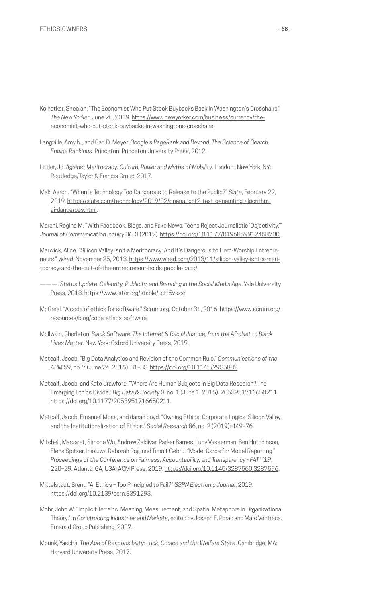- Kolhatkar, Sheelah. "The Economist Who Put Stock Buybacks Back in Washington's Crosshairs." *The New Yorker*, June 20, 2019. [https://www.newyorker.com/business/currency/the](https://www.newyorker.com/business/currency/the-economist-who-put-stock-buybacks-in-washingtons-crosshairs)[economist-who-put-stock-buybacks-in-washingtons-crosshairs.](https://www.newyorker.com/business/currency/the-economist-who-put-stock-buybacks-in-washingtons-crosshairs)
- Langville, Amy N., and Carl D. Meyer. *Google's PageRank and Beyond: The Science of Search Engine Rankings*. Princeton: Princeton University Press, 2012.
- Littler, Jo. *Against Meritocracy: Culture, Power and Myths of Mobility*. London ; New York, NY: Routledge/Taylor & Francis Group, 2017.
- Mak, Aaron. "When Is Technology Too Dangerous to Release to the Public?" *Slate*, February 22, 2019. [https://slate.com/technology/2019/02/openai-gpt2-text-generating-algorithm](https://slate.com/technology/2019/02/openai-gpt2-text-generating-algorithm-ai-dangerous.html)[ai-dangerous.html](https://slate.com/technology/2019/02/openai-gpt2-text-generating-algorithm-ai-dangerous.html).

Marchi, Regina M. "With Facebook, Blogs, and Fake News, Teens Reject Journalistic 'Objectivity,'" *Journal of Communication Inquiry* 36, 3 (2012). [https://doi.org/10.1177/0196859912458700.](https://doi.org/10.1177/0196859912458700)

Marwick, Alice. "Silicon Valley Isn't a Meritocracy. And It's Dangerous to Hero-Worship Entrepreneurs." *Wired*, November 25, 2013. [https://www.wired.com/2013/11/silicon-valley-isnt-a-meri](https://www.wired.com/2013/11/silicon-valley-isnt-a-meritocracy-and-the-cult-of-the-entrepreneur-holds-people-back/)[tocracy-and-the-cult-of-the-entrepreneur-holds-people-back/](https://www.wired.com/2013/11/silicon-valley-isnt-a-meritocracy-and-the-cult-of-the-entrepreneur-holds-people-back/).

- ———. *Status Update: Celebrity, Publicity, and Branding in the Social Media Age*. Yale University Press, 2013. <https://www.jstor.org/stable/j.ctt5vkzxr>.
- McGreal. "A code of ethics for software." Scrum.org. October 31, 2016. [https://www.scrum.org/](https://www.scrum.org/resources/blog/code-ethics-software) [resources/blog/code-ethics-software](https://www.scrum.org/resources/blog/code-ethics-software).
- McIlwain, Charleton. *Black Software: The Internet & Racial Justice, from the AfroNet to Black Lives Matter*. New York: Oxford University Press, 2019.
- Metcalf, Jacob. "Big Data Analytics and Revision of the Common Rule." *Communications of the ACM* 59, no. 7 (June 24, 2016): 31–33.<https://doi.org/10.1145/2935882>.
- Metcalf, Jacob, and Kate Crawford. "Where Are Human Subjects in Big Data Research? The Emerging Ethics Divide." *Big Data & Society* 3, no. 1 (June 1, 2016): 2053951716650211. [https://doi.org/10.1177/2053951716650211.](https://doi.org/10.1177/2053951716650211)
- Metcalf, Jacob, Emanuel Moss, and danah boyd. "Owning Ethics: Corporate Logics, Silicon Valley, and the Institutionalization of Ethics." *Social Research* 86, no. 2 (2019): 449–76.
- Mitchell, Margaret, Simone Wu, Andrew Zaldivar, Parker Barnes, Lucy Vasserman, Ben Hutchinson, Elena Spitzer, Inioluwa Deborah Raji, and Timnit Gebru. "Model Cards for Model Reporting." *Proceedings of the Conference on Fairness, Accountability, and Transparency - FAT\* '19*, 220–29. Atlanta, GA, USA: ACM Press, 2019. [https://doi.org/10.1145/3287560.3287596.](https://doi.org/10.1145/3287560.3287596)
- Mittelstadt, Brent. "AI Ethics Too Principled to Fail?" *SSRN Electronic Journal*, 2019. <https://doi.org/10.2139/ssrn.3391293>.
- Mohr, John W. "Implicit Terrains: Meaning, Measurement, and Spatial Metaphors in Organizational Theory." In *Constructing Industries and Markets*, edited by Joseph F. Porac and Marc Ventreca. Emerald Group Publishing, 2007.
- Mounk, Yascha. *The Age of Responsibility: Luck, Choice and the Welfare State*. Cambridge, MA: Harvard University Press, 2017.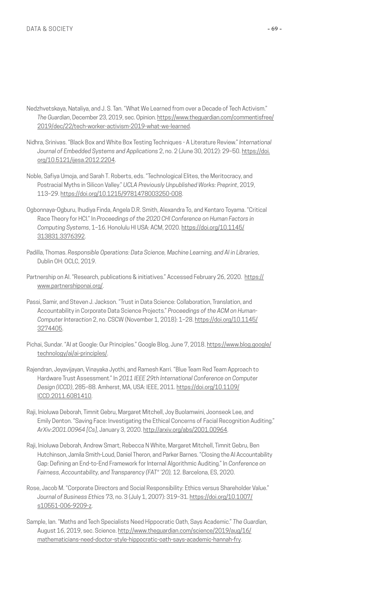- Nedzhvetskaya, Nataliya, and J. S. Tan. "What We Learned from over a Decade of Tech Activism." *The Guardian*, December 23, 2019, sec. Opinion. [https://www.theguardian.com/commentisfree/](https://www.theguardian.com/commentisfree/2019/dec/22/tech-worker-activism-2019-what-we-learned) [2019/dec/22/tech-worker-activism-2019-what-we-learned.](https://www.theguardian.com/commentisfree/2019/dec/22/tech-worker-activism-2019-what-we-learned)
- Nidhra, Srinivas. "Black Box and White Box Testing Techniques A Literature Review." *International Journal of Embedded Systems and Applications* 2, no. 2 (June 30, 2012): 29–50. [https://doi.](https://doi.org/10.5121/ijesa.2012.2204) [org/10.5121/ijesa.2012.2204.](https://doi.org/10.5121/ijesa.2012.2204)
- Noble, Safiya Umoja, and Sarah T. Roberts, eds. "Technological Elites, the Meritocracy, and Postracial Myths in Silicon Valley." *UCLA Previously Unpublished Works: Preprint*, 2019, 113–29. [https://doi.org/10.1215/9781478003250-008.](https://doi.org/10.1215/9781478003250-008)
- Ogbonnaya-Ogburu, Ihudiya Finda, Angela D.R. Smith, Alexandra To, and Kentaro Toyama. "Critical Race Theory for HCI." In *Proceedings of the 2020 CHI Conference on Human Factors in Computing Systems*, 1–16. Honolulu HI USA: ACM, 2020. [https://doi.org/10.1145/](https://doi.org/10.1145/3313831.3376392) [313831.3376392](https://doi.org/10.1145/3313831.3376392).
- Padilla, Thomas. *Responsible Operations: Data Science, Machine Learning, and AI in Libraries*, Dublin OH: OCLC, 2019.
- Partnership on Al. "Research, publications & initiatives." Accessed February 26, 2020. [https://](https://www.partnershiponai.org/) [www.partnershiponai.org/](https://www.partnershiponai.org/).
- Passi, Samir, and Steven J. Jackson. "Trust in Data Science: Collaboration, Translation, and Accountability in Corporate Data Science Projects." *Proceedings of the ACM on Human-Computer Interaction* 2, no. CSCW (November 1, 2018): 1–28. [https://doi.org/10.1145/](https://doi.org/10.1145/3274405) [3274405](https://doi.org/10.1145/3274405).
- Pichai, Sundar. "AI at Google: Our Principles." Google Blog, June 7, 2018. [https://www.blog.google/](https://www.blog.google/technology/ai/ai-principles/) [technology/ai/ai-principles/.](https://www.blog.google/technology/ai/ai-principles/)
- Rajendran, Jeyavijayan, Vinayaka Jyothi, and Ramesh Karri. "Blue Team Red Team Approach to Hardware Trust Assessment." In *2011 IEEE 29th International Conference on Computer Design (ICCD)*, 285–88. Amherst, MA, USA: IEEE, 2011. [https://doi.org/10.1109/](https://doi.org/10.1109/ICCD.2011.6081410) [ICCD.2011.6081410.](https://doi.org/10.1109/ICCD.2011.6081410)
- Raji, Inioluwa Deborah, Timnit Gebru, Margaret Mitchell, Joy Buolamwini, Joonseok Lee, and Emily Denton. "Saving Face: Investigating the Ethical Concerns of Facial Recognition Auditing." *ArXiv:2001.00964 [Cs]*, January 3, 2020. [http://arxiv.org/abs/2001.00964.](http://arxiv.org/abs/2001.00964)
- Raji, Inioluwa Deborah, Andrew Smart, Rebecca N White, Margaret Mitchell, Timnit Gebru, Ben Hutchinson, Jamila Smith-Loud, Daniel Theron, and Parker Barnes. "Closing the AI Accountability Gap: Defining an End-to-End Framework for Internal Algorithmic Auditing." In *Conference on Fairness, Accountability, and Transparency (FAT\* '20),* 12. Barcelona, ES, 2020.
- Rose, Jacob M. "Corporate Directors and Social Responsibility: Ethics versus Shareholder Value." *Journal of Business Ethics* 73, no. 3 (July 1, 2007): 319–31. [https://doi.org/10.1007/](https://doi.org/10.1007/s10551-006-9209-z) [s10551-006-9209-z](https://doi.org/10.1007/s10551-006-9209-z).
- Sample, Ian. "Maths and Tech Specialists Need Hippocratic Oath, Says Academic." *The Guardian*, August 16, 2019, sec. Science. [http://www.theguardian.com/science/2019/aug/16/](http://www.theguardian.com/science/2019/aug/16/mathematicians-need-doctor-style-hippocratic-oath-says-academic-hannah-fry) [mathematicians-need-doctor-style-hippocratic-oath-says-academic-hannah-fry.](http://www.theguardian.com/science/2019/aug/16/mathematicians-need-doctor-style-hippocratic-oath-says-academic-hannah-fry)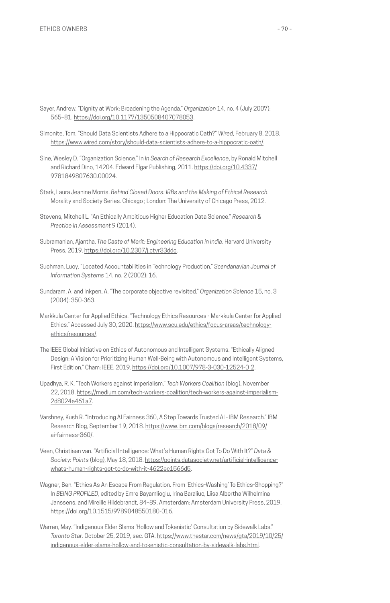- Sayer, Andrew. "Dignity at Work: Broadening the Agenda." *Organization* 14, no. 4 (July 2007): 565–81. <https://doi.org/10.1177/1350508407078053>.
- Simonite, Tom. "Should Data Scientists Adhere to a Hippocratic Oath?" *Wired*, February 8, 2018. [https://www.wired.com/story/should-data-scientists-adhere-to-a-hippocratic-oath/.](https://www.wired.com/story/should-data-scientists-adhere-to-a-hippocratic-oath/)
- Sine, Wesley D. "Organization Science." In *In Search of Research Excellence*, by Ronald Mitchell and Richard Dino, 14204. Edward Elgar Publishing, 2011. [https://doi.org/10.4337/](https://doi.org/10.4337/9781849807630.00024) [9781849807630.00024.](https://doi.org/10.4337/9781849807630.00024)
- Stark, Laura Jeanine Morris. *Behind Closed Doors: IRBs and the Making of Ethical Research*. Morality and Society Series. Chicago ; London: The University of Chicago Press, 2012.
- Stevens, Mitchell L. "An Ethically Ambitious Higher Education Data Science." *Research & Practice in Assessment* 9 (2014).
- Subramanian, Ajantha. *The Caste of Merit: Engineering Education in India*. Harvard University Press, 2019. <https://doi.org/10.2307/j.ctvr33ddc>.
- Suchman, Lucy. "Located Accountabilities in Technology Production." *Scandanavian Journal of Information Systems* 14, no. 2 (2002): 16.
- Sundaram, A. and Inkpen, A. "The corporate objective revisited." *Organization Science* 15, no. 3 (2004): 350-363.
- Markkula Center for Applied Ethics. "Technology Ethics Resources Markkula Center for Applied Ethics." Accessed July 30, 2020. [https://www.scu.edu/ethics/focus-areas/technology](https://www.scu.edu/ethics/focus-areas/technology-ethics/resources/)[ethics/resources/.](https://www.scu.edu/ethics/focus-areas/technology-ethics/resources/)
- The IEEE Global Initiative on Ethics of Autonomous and Intelligent Systems. "Ethically Aligned Design: A Vision for Prioritizing Human Well-Being with Autonomous and Intelligent Systems, First Edition." Cham: IEEE, 2019. [https://doi.org/10.1007/978-3-030-12524-0\\_2](https://doi.org/10.1007/978-3-030-12524-0_2).
- Upadhya, R. K. "Tech Workers against Imperialism." *Tech Workers Coalition* (blog), November 22, 2018. [https://medium.com/tech-workers-coalition/tech-workers-against-imperialism-](https://medium.com/tech-workers-coalition/tech-workers-against-imperialism-2d8024e461a7)[2d8024e461a7](https://medium.com/tech-workers-coalition/tech-workers-against-imperialism-2d8024e461a7).
- Varshney, Kush R. "Introducing AI Fairness 360, A Step Towards Trusted AI IBM Research." IBM Research Blog, September 19, 2018. [https://www.ibm.com/blogs/research/2018/09/](https://www.ibm.com/blogs/research/2018/09/ai-fairness-360/) [ai-fairness-360/.](https://www.ibm.com/blogs/research/2018/09/ai-fairness-360/)
- Veen, Christiaan van. "Artificial Intelligence: What's Human Rights Got To Do With It?" *Data & Society: Points* (blog), May 18, 2018. [https://points.datasociety.net/artificial-intelligence](https://points.datasociety.net/artificial-intelligence-whats-human-rights-got-to-do-with-it-4622ec1566d5)[whats-human-rights-got-to-do-with-it-4622ec1566d5.](https://points.datasociety.net/artificial-intelligence-whats-human-rights-got-to-do-with-it-4622ec1566d5)
- Wagner, Ben. "Ethics As An Escape From Regulation. From 'Ethics-Washing' To Ethics-Shopping?" In *BEING PROFILED*, edited by Emre Bayamlioglu, Irina Baraliuc, Liisa Albertha Wilhelmina Janssens, and Mireille Hildebrandt, 84–89. Amsterdam: Amsterdam University Press, 2019. [https://doi.org/10.1515/9789048550180-016.](https://doi.org/10.1515/9789048550180-016)
- Warren, May. "Indigenous Elder Slams 'Hollow and Tokenistic' Consultation by Sidewalk Labs." *Toronto Star*. October 25, 2019, sec. GTA. [https://www.thestar.com/news/gta/2019/10/25/](https://www.thestar.com/news/gta/2019/10/25/indigenous-elder-slams-hollow-and-tokenistic-consultation-by-sidewalk-labs.html) [indigenous-elder-slams-hollow-and-tokenistic-consultation-by-sidewalk-labs.html.](https://www.thestar.com/news/gta/2019/10/25/indigenous-elder-slams-hollow-and-tokenistic-consultation-by-sidewalk-labs.html)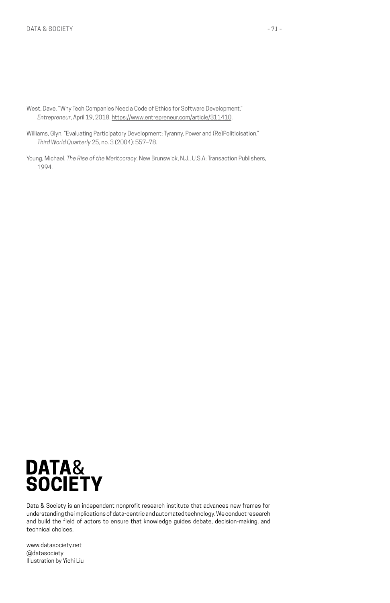- West, Dave. "Why Tech Companies Need a Code of Ethics for Software Development." *Entrepreneur*, April 19, 2018. <https://www.entrepreneur.com/article/311410>.
- Williams, Glyn. "Evaluating Participatory Development: Tyranny, Power and (Re)Politicisation." *Third World Quarterly* 25, no. 3 (2004): 557–78.
- Young, Michael. *The Rise of the Meritocracy*. New Brunswick, N.J., U.S.A: Transaction Publishers, 1994.



Data & Society is an independent nonprofit research institute that advances new frames for understanding the implications of data-centric and automated technology. We conduct research and build the field of actors to ensure that knowledge guides debate, decision-making, and technical choices.

www.datasociety.net @datasociety Illustration by Yichi Liu